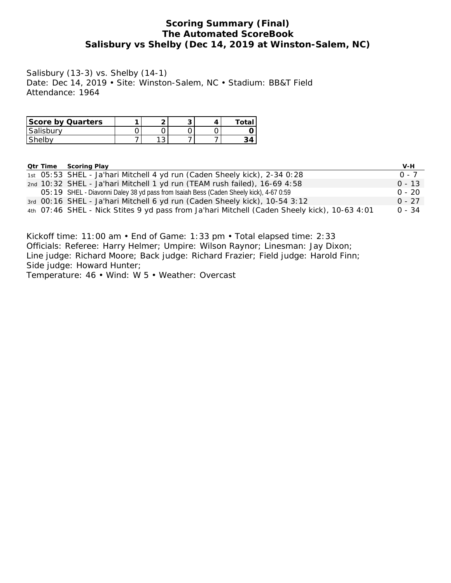## **Scoring Summary (Final) The Automated ScoreBook Salisbury vs Shelby (Dec 14, 2019 at Winston-Salem, NC)**

Salisbury (13-3) vs. Shelby (14-1) Date: Dec 14, 2019 • Site: Winston-Salem, NC • Stadium: BB&T Field Attendance: 1964

| Score by Quarters |                 | ◡ |  |
|-------------------|-----------------|---|--|
| Salisbury         |                 |   |  |
| shelp'            | $\sqrt{2}$<br>ັ |   |  |

|  | Otr Time Scoring Play                                                                        | V-H      |
|--|----------------------------------------------------------------------------------------------|----------|
|  | 1st 05:53 SHEL - Ja'hari Mitchell 4 yd run (Caden Sheely kick), 2-34 0:28                    | $0 - 7$  |
|  | 2nd 10:32 SHEL - Ja'hari Mitchell 1 yd run (TEAM rush failed), 16-69 4:58                    | $0 - 13$ |
|  | O5: 19 SHEL - Diavonni Daley 38 yd pass from Isaiah Bess (Caden Sheely kick), 4-67 0:59      | $0 - 20$ |
|  | 3rd 00:16 SHEL - Ja'hari Mitchell 6 yd run (Caden Sheely kick), 10-54 3:12                   | $0 - 27$ |
|  | 4th 07:46 SHEL - Nick Stites 9 yd pass from Ja'hari Mitchell (Caden Sheely kick), 10-63 4:01 | $0 - 34$ |

Kickoff time: 11:00 am • End of Game: 1:33 pm • Total elapsed time: 2:33 Officials: Referee: Harry Helmer; Umpire: Wilson Raynor; Linesman: Jay Dixon; Line judge: Richard Moore; Back judge: Richard Frazier; Field judge: Harold Finn; Side judge: Howard Hunter;

Temperature: 46 • Wind: W 5 • Weather: Overcast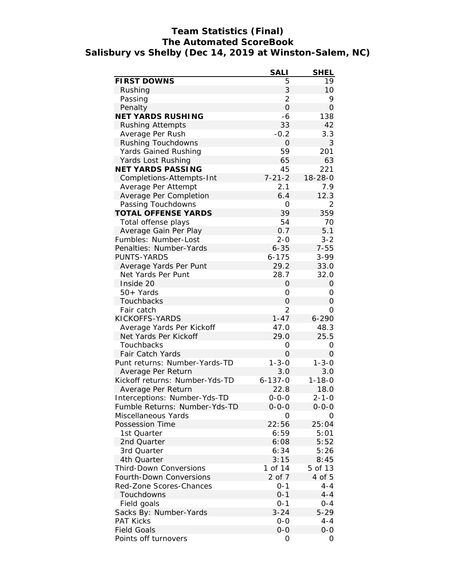## **Team Statistics (Final) The Automated ScoreBook Salisbury vs Shelby (Dec 14, 2019 at Winston-Salem, NC)**

|                                | SALI           | <b>SHEL</b>    |
|--------------------------------|----------------|----------------|
| FIRST DOWNS                    | 5              | 19             |
| Rushing                        | 3              | 10             |
| Passing                        | $\overline{2}$ | 9              |
| Penalty                        | $\overline{O}$ | $\Omega$       |
| <b>NET YARDS RUSHING</b>       | -6             | 138            |
| <b>Rushing Attempts</b>        | 33             | 42             |
| Average Per Rush               | $-0.2$         | 3.3            |
| Rushing Touchdowns             | 0              | 3              |
| Yards Gained Rushing           | 59             | 201            |
| Yards Lost Rushing             | 65             | 63             |
| NET YARDS PASSING              | 45             | 221            |
| Completions-Attempts-Int       | $7 - 21 - 2$   | $18 - 28 - 0$  |
| Average Per Attempt            | 2.1            | 7.9            |
| Average Per Completion         | 6.4            | 12.3           |
| Passing Touchdowns             | 0              | $\overline{2}$ |
| TOTAL OFFENSE YARDS            | 39             | 359            |
| Total offense plays            | 54             | 70             |
| Average Gain Per Play          | 0.7            | 5.1            |
| Fumbles: Number-Lost           | $2 - 0$        | $3 - 2$        |
| Penalties: Number-Yards        | $6 - 35$       | $7 - 55$       |
| <b>PUNTS-YARDS</b>             | $6 - 175$      | $3 - 99$       |
| Average Yards Per Punt         | 29.2           | 33.0           |
| Net Yards Per Punt             | 28.7           | 32.0           |
| Inside 20                      | O              | $\overline{O}$ |
| 50+ Yards                      | 0              | Ο              |
| Touchbacks                     | 0              | $\Omega$       |
| Fair catch                     | $\overline{2}$ | $\Omega$       |
| KICKOFFS-YARDS                 | $1 - 47$       | $6 - 290$      |
| Average Yards Per Kickoff      | 47.0           | 48.3           |
| Net Yards Per Kickoff          | 29.0           | 25.5           |
| Touchbacks                     | 0              | 0              |
| Fair Catch Yards               | 0              | $\overline{O}$ |
| Punt returns: Number-Yards-TD  | $1 - 3 - 0$    | $1 - 3 - 0$    |
| Average Per Return             | 3.0            | 3.0            |
| Kickoff returns: Number-Yds-TD | $6 - 137 - 0$  | $1 - 18 - 0$   |
| Average Per Return             | 22.8           | 18.0           |
| Interceptions: Number-Yds-TD   | 0-0-0          | 2-1-0          |
| Fumble Returns: Number-Yds-TD  | $0 - 0 - 0$    | $0 - 0 - 0$    |
| Miscellaneous Yards            | Ο              | Ο              |
| Possession Time                | 22:56          | 25:04          |
| 1st Quarter                    | 6:59           | 5:01           |
| 2nd Quarter                    | 6:08           | 5:52           |
|                                | 6:34           | 5:26           |
| 3rd Quarter<br>4th Quarter     | 3:15           | 8:45           |
| <b>Third-Down Conversions</b>  | 1 of 14        |                |
|                                |                | 5 of 13        |
| Fourth-Down Conversions        | 2 of 7         | 4 of 5         |
| Red-Zone Scores-Chances        | $0 - 1$        | $4 - 4$        |
| Touchdowns                     | $0 - 1$        | 4-4            |
| Field goals                    | $0 - 1$        | $0 - 4$        |
| Sacks By: Number-Yards         | $3 - 24$       | $5 - 29$       |
| <b>PAT Kicks</b>               | $0-0$          | $4 - 4$        |
| <b>Field Goals</b>             | $0-0$          | $0 - 0$        |
| Points off turnovers           | 0              | 0              |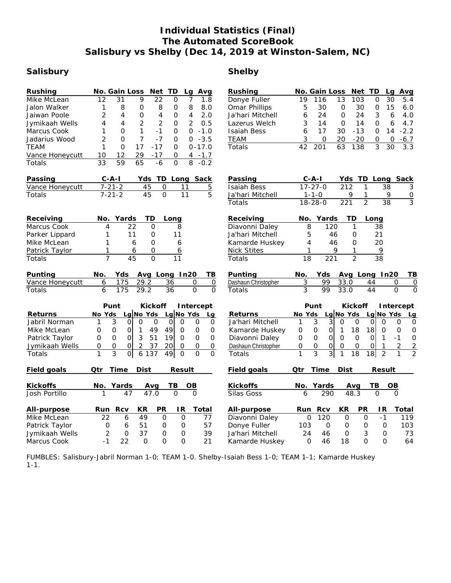## **Individual Statistics (Final) The Automated ScoreBook Salisbury vs Shelby (Dec 14, 2019 at Winston-Salem, NC)**

## **Salisbury Shelby**

| Rushing<br><b>Mike McLean</b><br>Jalon Walker<br>Jaiwan Poole<br>Jymikaah Wells<br>Marcus Cook<br>Jadarius Wood<br><b>TEAM</b><br>Vance Honeycutt<br>Totals | No. Gain Loss<br>Net<br>TD<br>Avg<br>Lg<br>12<br>31<br>9<br>$\overline{22}$<br>$\Omega$<br>7<br>1.8<br>8<br>8<br>1<br>$\circ$<br>O<br>8<br>8.0<br>2<br>4<br>4<br>$\circ$<br>$\overline{4}$<br>$\Omega$<br>2.0<br>$\overline{2}$<br>$\overline{2}$<br>4<br>$\overline{2}$<br>0.5<br>4<br>0<br>1<br>$-1.0$<br>1<br>$\Omega$<br>$-1$<br>$\Omega$<br>0<br>7<br>2<br>$\Omega$<br>$-7$<br>$-3.5$<br>0<br>0<br>17<br>1<br>$\Omega$<br>$-17$<br>$0 - 17.0$<br>0<br>12<br>$-17$<br>10<br>29<br>0<br>$4 - 1.7$<br>$\overline{33}$<br>59<br>65<br>$\mathbf 0$<br>8<br>$-6$<br>$-0.2$                                         | Rushing<br>Donye Fuller<br>Omar Phillips<br>Ja'hari Mitchell<br>Lazerus Welch<br><b>Isaiah Bess</b><br><b>TEAM</b><br>Totals | No. Gain Loss<br>Net TD<br>Avg<br>La<br>13<br>30<br>19<br>116<br>103<br>$\mathbf{O}$<br>5.4<br>30<br>15<br>5<br>30<br>$\mathbf 0$<br>0<br>6.0<br>24<br>3<br>6<br>$\Omega$<br>24<br>4.0<br>6<br>3<br>14<br>$\overline{O}$<br>14<br>$\overline{O}$<br>6<br>4.7<br>$-13$<br>$\Omega$<br>6<br>17<br>30<br>14<br>$-2.2$<br>3<br>$-20$<br>0<br>20<br>0<br>O<br>$-6.7$<br>$\overline{63}$<br>138<br>3<br>42<br>201<br>30<br>3.3                                                                                                                                                                                                                                                 |
|-------------------------------------------------------------------------------------------------------------------------------------------------------------|-------------------------------------------------------------------------------------------------------------------------------------------------------------------------------------------------------------------------------------------------------------------------------------------------------------------------------------------------------------------------------------------------------------------------------------------------------------------------------------------------------------------------------------------------------------------------------------------------------------------|------------------------------------------------------------------------------------------------------------------------------|--------------------------------------------------------------------------------------------------------------------------------------------------------------------------------------------------------------------------------------------------------------------------------------------------------------------------------------------------------------------------------------------------------------------------------------------------------------------------------------------------------------------------------------------------------------------------------------------------------------------------------------------------------------------------|
| Passing<br>Vance Honeycutt<br>Totals                                                                                                                        | $C - A - I$<br>Yds TD Long Sack<br>$7 - 21 - 2$<br>45<br>$\mathbf 0$<br>11<br>$\overline{5}$<br>$\overline{5}$<br>$7 - 21 - 2$<br>$\overline{45}$<br>$\Omega$<br>$\overline{11}$                                                                                                                                                                                                                                                                                                                                                                                                                                  | Passing<br><b>Isaiah Bess</b><br>Ja'hari Mitchell<br>Totals                                                                  | C-A-I<br>Yds.<br>TD Long<br>Sack<br>$17 - 27 - 0$<br>212<br>1<br>38<br>3<br>$1 - 1 - 0$<br>9<br>1<br>9<br>$\frac{0}{3}$<br>$\overline{2}$<br>$18 - 28 - 0$<br>$\overline{38}$<br>221                                                                                                                                                                                                                                                                                                                                                                                                                                                                                     |
| Receiving<br>Marcus Cook<br>Parker Lippard<br>Mike McLean<br>Patrick Taylor<br>Totals                                                                       | Yards<br>ТD<br>No.<br>Long<br>22<br>$\overline{4}$<br>$\Omega$<br>8<br>1<br>11<br>O<br>11<br>1<br>$\Omega$<br>6<br>6<br>1<br>$\Omega$<br>6<br>6<br>$\overline{7}$<br>45<br>$\overline{0}$<br>$\overline{11}$                                                                                                                                                                                                                                                                                                                                                                                                      | Receiving<br>Diavonni Daley<br>Ja'hari Mitchell<br>Kamarde Huskey<br><b>Nick Stites</b><br>Totals                            | Yards<br><b>TD</b><br>No.<br>Long<br>8<br>120<br>$\mathbf{1}$<br>38<br>5<br>46<br>21<br>0<br>4<br>20<br>46<br>0<br>9<br>9<br>1<br>1<br>$\overline{2}$<br>$\overline{38}$<br>$\overline{18}$<br>$\overline{221}$                                                                                                                                                                                                                                                                                                                                                                                                                                                          |
| Punting<br>Vance Honeycutt<br>Totals                                                                                                                        | No.<br>Yds<br>Avg Long In20<br>TB<br>29.2<br>36<br>6<br>175<br>0<br>$\mathsf{O}\xspace$<br>$\overline{0}$<br>6<br>175<br>29.2<br>$\overline{36}$<br>$\overline{0}$                                                                                                                                                                                                                                                                                                                                                                                                                                                | Punting<br>Dashaun Christopher<br>Totals                                                                                     | No.<br>Yds<br>Avg Long In20<br>TВ<br>3<br>99<br>33.0<br>44<br>$\mathbf 0$<br>0<br>$\overline{3}$<br>$\overline{0}$<br>33.0<br>$\overline{44}$<br>$\overline{0}$<br>99                                                                                                                                                                                                                                                                                                                                                                                                                                                                                                    |
| Returns<br>Jabril Norman<br>Mike McLean<br>Patrick Taylor<br>Jymikaah Wells<br>Totals                                                                       | Punt<br>Kickoff<br>Intercept<br>Lg No Yds<br>No Yds<br>Lg No Yds<br>Lg<br>3<br>$\mathbf{O}$<br>$\circ$<br>$\mathbf 0$<br>$\overline{O}$<br>$\Omega$<br>$\circ$<br>$\mathbf 0$<br>$\mathbf{1}$<br>$\mathbf 0$<br>$\mathsf{O}\xspace$<br>$\mathsf O$<br>$\mathbf{1}$<br>49<br>49<br>$\mathsf{O}\xspace$<br>$\mathsf{O}\xspace$<br>$\mathbf 0$<br>3<br>51<br>$\overline{O}$<br>$\Omega$<br>$\overline{O}$<br>19<br>$\mathsf{O}$<br>$\Omega$<br>0<br>37<br>20<br>$\mathsf{O}$<br>$\mathsf O$<br>O<br>0<br>$\mathsf O$<br>2<br>$\Omega$<br>3<br>$\circ$<br>6 137<br>49<br>$\Omega$<br>$\mathbf 0$<br>1<br>$\mathbf{O}$ | Returns<br>Ja'hari Mitchell<br>Kamarde Huskey<br>Diavonni Daley<br>Dashaun Christopher<br>Totals                             | Punt<br>Kickoff<br>Intercept<br>Lg No Yds<br>Lg No Yds<br>No Yds<br>Lg<br>$\overline{3}$<br>3<br>1<br>$\mathbf 0$<br>0<br>$\Omega$<br>$\Omega$<br>0<br>$\mathsf{O}$<br>18<br>18<br>$\mathsf O$<br>$\overline{0}$<br>$\mathbf{1}$<br>0<br>$\mathsf{O}\xspace$<br>O<br>$\mathbf 0$<br>$\overline{0}$<br>$\overline{O}$<br>$\overline{O}$<br>$\mathbf 0$<br>$\mathbf 0$<br>$\mathbf{O}$<br>Οl<br>$-1$<br>$\mathbf{1}$<br>$\overline{2}$<br>$\overline{2}$<br>0<br>$\overline{O}$<br>$\mathsf O$<br>$\mathsf{O}\xspace$<br>$\mathbf{O}$<br>0<br>1<br>$\overline{3}$<br>$\overline{3}$<br>$\overline{2}$<br> 18 <br>$\overline{2}$<br>1<br>$\mathbf{1}$<br>18<br>$\mathbf{1}$ |
| Field goals                                                                                                                                                 | Dist<br>Qtr<br>Time<br>Result                                                                                                                                                                                                                                                                                                                                                                                                                                                                                                                                                                                     | Field goals                                                                                                                  | Time<br>Dist<br>Result<br>Qtr                                                                                                                                                                                                                                                                                                                                                                                                                                                                                                                                                                                                                                            |
| Kickoffs<br>Josh Portillo                                                                                                                                   | TВ<br>No.<br>Yards<br>OB<br>Avg<br>$\frac{1}{47.0}$<br>47<br>$\overline{O}$<br>$\mathbf 0$<br>1                                                                                                                                                                                                                                                                                                                                                                                                                                                                                                                   | Kickoffs<br>Silas Goss                                                                                                       | Yards<br>ΤВ<br>ОB<br>No.<br>Avg<br>48.3<br>290<br>$\Omega$<br>6<br>$\mathbf{O}$                                                                                                                                                                                                                                                                                                                                                                                                                                                                                                                                                                                          |
| All-purpose<br>Mike McLean<br>Patrick Taylor<br>Jymikaah Wells<br>Marcus Cook                                                                               | KR<br>PR<br>Run Rcv<br>IR.<br>Total<br>49<br>$\overline{O}$<br>22<br>6<br>$\mathbf{O}$<br>77<br>57<br>$\mathbf{O}$<br>6<br>51<br>$\circ$<br>0<br>$\overline{2}$<br>$\mathbf 0$<br>37<br>39<br>0<br>0<br>$-1$<br>22<br>$\Omega$<br>0<br>$\Omega$<br>21                                                                                                                                                                                                                                                                                                                                                             | All-purpose<br>Diavonni Daley<br>Donye Fuller<br>Ja'hari Mitchell<br>Kamarde Huskey                                          | KR<br>PR<br>Rcv<br>IR.<br>Total<br>Run<br>120<br>$\overline{O}$<br>$\overline{O}$<br>$-1$<br>$\Omega$<br>119<br>103<br>$\mathbf 0$<br>$\circ$<br>0<br>$\mathbf 0$<br>103<br>24<br>3<br>73<br>46<br>0<br>0<br>$\Omega$<br>46<br>18<br>$\Omega$<br>64<br>$\Omega$                                                                                                                                                                                                                                                                                                                                                                                                          |

FUMBLES: Salisbury-Jabril Norman 1-0; TEAM 1-0. Shelby-Isaiah Bess 1-0; TEAM 1-1; Kamarde Huskey 1-1.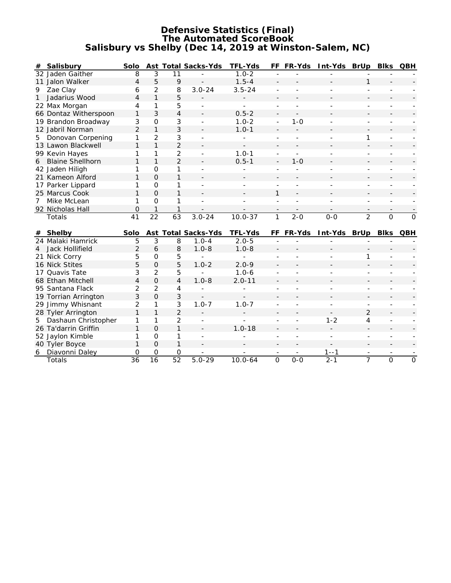#### **Defensive Statistics (Final) The Automated ScoreBook Salisbury vs Shelby (Dec 14, 2019 at Winston-Salem, NC)**

|              | # Salisbury                      | Solo                             |                                       |                     | Ast Total Sacks-Yds | TFL-Yds     |                          | FF FR-Yds      | Int-Yds BrUp |                | Blks           | QBH          |
|--------------|----------------------------------|----------------------------------|---------------------------------------|---------------------|---------------------|-------------|--------------------------|----------------|--------------|----------------|----------------|--------------|
|              | 32 Jaden Gaither                 | 8                                | 3                                     | 11                  |                     | $1.0 - 2$   |                          |                |              |                |                |              |
|              | 11 Jalon Walker                  | 4                                | 5                                     | 9                   |                     | $1.5 - 4$   |                          |                |              | 1              |                |              |
| 9            | Zae Clay                         | 6                                | $\overline{2}$                        | 8                   | $3.0 - 24$          | $3.5 - 24$  |                          |                |              |                |                |              |
| $\mathbf{1}$ | Jadarius Wood                    | 4                                | $\mathbf{1}$                          | 5                   |                     |             |                          |                |              |                |                |              |
|              | 22 Max Morgan                    | 4                                | 1                                     | 5                   |                     | ÷.          |                          |                |              |                |                |              |
|              | 66 Dontaz Witherspoon            | 1                                | 3                                     | 4                   |                     | $0.5 - 2$   |                          |                |              |                |                |              |
|              | 19 Brandon Broadway              | 3                                | $\mathbf{O}$                          | 3                   |                     | $1.0 - 2$   | $\overline{\phantom{a}}$ | $1 - 0$        |              |                |                |              |
|              | 12 Jabril Norman                 | $\overline{2}$                   | $\mathbf{1}$                          | 3                   |                     | $1.0 - 1$   |                          |                |              |                |                |              |
|              | 5 Donovan Corpening              | 1                                | $\overline{2}$                        | 3                   |                     |             |                          |                |              | 1              |                |              |
|              | 13 Lawon Blackwell               | 1                                | $\mathbf{1}$                          | $\overline{2}$      |                     |             |                          |                |              |                |                |              |
|              | 99 Kevin Hayes                   | 1                                | 1                                     | $\overline{2}$      |                     | $1.0 - 1$   |                          |                |              |                |                |              |
|              | 6 Blaine Shellhorn               | $\mathbf{1}$                     | $\mathbf{1}$                          | $\overline{2}$      |                     | $0.5 - 1$   |                          | $1 - 0$        |              |                |                |              |
|              | 42 Jaden Hiligh                  | 1                                | 0                                     | 1                   |                     |             |                          |                |              |                |                |              |
|              | 21 Kameon Alford                 | $\mathbf{1}$                     | $\Omega$                              | $\mathbf{1}$        |                     |             |                          |                |              |                |                |              |
|              | 17 Parker Lippard                | 1                                | $\Omega$                              | 1                   |                     |             |                          |                |              |                |                |              |
|              | 25 Marcus Cook                   | 1                                | $\Omega$                              | $\mathbf{1}$        |                     |             | 1                        |                |              |                |                |              |
| $7^{\circ}$  | Mike McLean                      | 1                                | O                                     | 1                   |                     |             |                          |                |              |                |                |              |
|              | 92 Nicholas Hall                 | $\overline{0}$                   | $\mathbf{1}$                          |                     |                     |             |                          |                |              |                |                |              |
|              |                                  |                                  |                                       |                     |                     |             |                          |                |              |                |                |              |
|              | Totals                           | 41                               | 22                                    | 63                  | $3.0 - 24$          | $10.0 - 37$ | 1                        | $2 - 0$        | $O-O$        | $\overline{2}$ | $\overline{O}$ | $\mathbf{O}$ |
|              |                                  |                                  |                                       |                     |                     |             |                          |                |              |                |                |              |
|              | # Shelby                         | Solo                             |                                       |                     | Ast Total Sacks-Yds | TFL-Yds     | FF.                      | FR-Yds         | Int-Yds BrUp |                | <b>Blks</b>    | <b>QBH</b>   |
|              | 24 Malaki Hamrick                | 5                                | $\overline{3}$                        | 8                   | $1.0 - 4$           | $2.0 - 5$   |                          |                |              |                |                |              |
| 4            | Jack Hollifield                  | $\overline{2}$                   | 6                                     | 8                   | $1.0 - 8$           | $1.0 - 8$   |                          |                |              |                |                |              |
|              | 21 Nick Corry                    | 5                                | $\mathsf{O}\xspace$<br>$\Omega$       | 5                   |                     |             |                          |                |              | 1              |                |              |
|              | 16 Nick Stites                   | 5                                |                                       | 5                   | $1.0 - 2$           | $2.0 - 9$   |                          |                |              |                |                |              |
|              | 17 Quavis Tate                   | 3                                | $\overline{2}$                        | 5<br>$\overline{4}$ | $1.0 - 8$           | $1.0 - 6$   |                          |                |              |                |                |              |
|              | 68 Ethan Mitchell                | $\overline{4}$<br>$\overline{2}$ | $\overline{O}$                        | 4                   |                     | $2.0 - 11$  |                          |                |              |                |                |              |
|              | 95 Santana Flack                 |                                  | $\overline{2}$                        |                     |                     |             |                          |                |              |                |                |              |
|              | 19 Torrian Arrington             | 3                                | $\overline{O}$<br>1                   | 3                   |                     | $1.0 - 7$   |                          |                |              |                |                |              |
|              | 29 Jimmy Whisnant                | $\overline{2}$<br>1              | $\mathbf{1}$                          | 3                   | $1.0 - 7$           |             |                          |                |              |                |                |              |
|              | 28 Tyler Arrington               | 1                                | 1                                     | $\overline{2}$      | ÷                   | ä,          |                          | $\overline{a}$ |              | $\overline{2}$ |                |              |
| 5            | Dashaun Christopher              | 1                                | $\Omega$                              | 2<br>$\mathbf{1}$   |                     |             |                          |                | $1 - 2$      | $\overline{4}$ |                |              |
|              | 26 Ta'darrin Griffin             | 1                                | $\mathbf{O}$                          | 1                   |                     | $1.0 - 18$  |                          |                |              | $\sim$         |                |              |
|              | 52 Jaylon Kimble                 | 1                                |                                       | $\mathbf{1}$        |                     |             |                          |                |              |                |                |              |
| 6            | 40 Tyler Boyce<br>Diavonni Daley | 0                                | $\overline{O}$<br>$\mathsf{O}\xspace$ | 0                   |                     |             |                          |                | $1 - -1$     |                |                |              |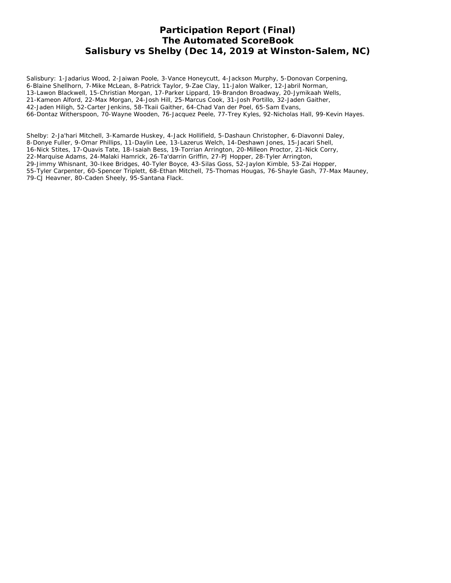## **Participation Report (Final) The Automated ScoreBook Salisbury vs Shelby (Dec 14, 2019 at Winston-Salem, NC)**

Salisbury: 1-Jadarius Wood, 2-Jaiwan Poole, 3-Vance Honeycutt, 4-Jackson Murphy, 5-Donovan Corpening, 6-Blaine Shellhorn, 7-Mike McLean, 8-Patrick Taylor, 9-Zae Clay, 11-Jalon Walker, 12-Jabril Norman, 13-Lawon Blackwell, 15-Christian Morgan, 17-Parker Lippard, 19-Brandon Broadway, 20-Jymikaah Wells, 21-Kameon Alford, 22-Max Morgan, 24-Josh Hill, 25-Marcus Cook, 31-Josh Portillo, 32-Jaden Gaither, 42-Jaden Hiligh, 52-Carter Jenkins, 58-Tkaii Gaither, 64-Chad Van der Poel, 65-Sam Evans, 66-Dontaz Witherspoon, 70-Wayne Wooden, 76-Jacquez Peele, 77-Trey Kyles, 92-Nicholas Hall, 99-Kevin Hayes.

Shelby: 2-Ja'hari Mitchell, 3-Kamarde Huskey, 4-Jack Hollifield, 5-Dashaun Christopher, 6-Diavonni Daley, 8-Donye Fuller, 9-Omar Phillips, 11-Daylin Lee, 13-Lazerus Welch, 14-Deshawn Jones, 15-Jacari Shell, 16-Nick Stites, 17-Quavis Tate, 18-Isaiah Bess, 19-Torrian Arrington, 20-Milleon Proctor, 21-Nick Corry, 22-Marquise Adams, 24-Malaki Hamrick, 26-Ta'darrin Griffin, 27-PJ Hopper, 28-Tyler Arrington, 29-Jimmy Whisnant, 30-Ikee Bridges, 40-Tyler Boyce, 43-Silas Goss, 52-Jaylon Kimble, 53-Zai Hopper, 55-Tyler Carpenter, 60-Spencer Triplett, 68-Ethan Mitchell, 75-Thomas Hougas, 76-Shayle Gash, 77-Max Mauney, 79-CJ Heavner, 80-Caden Sheely, 95-Santana Flack.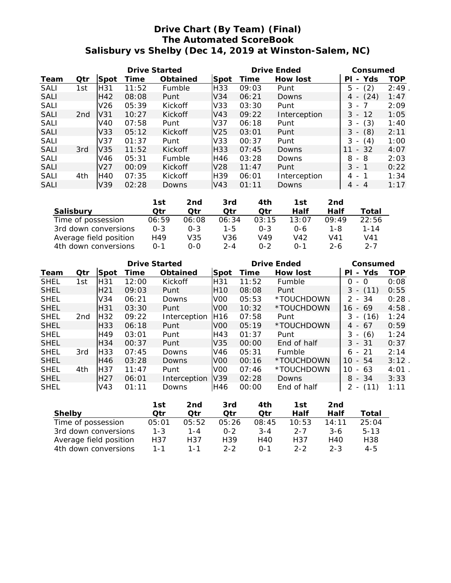## **Drive Chart (By Team) (Final) The Automated ScoreBook Salisbury vs Shelby (Dec 14, 2019 at Winston-Salem, NC)**

|             |                 |                 | Drive Started |          |                 |       | Drive Ended  | Consumed                              |      |  |
|-------------|-----------------|-----------------|---------------|----------|-----------------|-------|--------------|---------------------------------------|------|--|
| Team        | Qtr             | Spot            | Time          | Obtained | Spot            | Time  | How lost     | Yds<br>ΡI<br>$\overline{\phantom{a}}$ | TOP  |  |
| SALI        | 1st             | H31             | 11:52         | Fumble   | H33             | 09:03 | Punt         | (2)<br>5                              | 2:49 |  |
| <b>SALI</b> |                 | H42             | 08:08         | Punt     | V34             | 06:21 | Downs        | (24)<br>4                             | 1:47 |  |
| SALI        |                 | V <sub>26</sub> | 05:39         | Kickoff  | V33             | 03:30 | Punt         | 3<br>- 7<br>$\overline{\phantom{a}}$  | 2:09 |  |
| <b>SALI</b> | 2 <sub>nd</sub> | V31             | 10:27         | Kickoff  | V43             | 09:22 | Interception | 3<br>12<br>$-$                        | 1:05 |  |
| <b>SALI</b> |                 | V40             | 07:58         | Punt     | V <sub>37</sub> | 06:18 | Punt         | (3)<br>3                              | 1:40 |  |
| <b>SALI</b> |                 | V33             | 05:12         | Kickoff  | V <sub>25</sub> | 03:01 | Punt         | 3<br>(8)<br>$\overline{\phantom{a}}$  | 2:11 |  |
| SALI        |                 | V <sub>37</sub> | 01:37         | Punt     | V33             | 00:37 | Punt         | 3<br>(4)                              | 1:00 |  |
| <b>SALI</b> | 3rd             | V <sub>35</sub> | 11:52         | Kickoff  | H33             | 07:45 | Downs        | $-32$                                 | 4:07 |  |
| SALI        |                 | V46             | 05:31         | Fumble   | H46             | 03:28 | Downs        | 8<br>- 8                              | 2:03 |  |
| <b>SALI</b> |                 | V <sub>27</sub> | 00:09         | Kickoff  | V <sub>28</sub> | 11:47 | Punt         | $3 - 1$                               | 0:22 |  |
| <b>SALI</b> | 4th             | H40             | 07:35         | Kickoff  | H <sub>39</sub> | 06:01 | Interception | 4 -                                   | 1:34 |  |
| <b>SALI</b> |                 | V39             | 02:28         | Downs    | V43             | 01:11 | Downs        | - 4<br>4                              | 1:17 |  |

|                        | 1st      | 2nd     | 3rd     | 4th     | 1st          | 2nd   |          |
|------------------------|----------|---------|---------|---------|--------------|-------|----------|
| Salisbury              | ∩tr      | ∩tr     | ∩tr     | Otr     | Half         | Half  | Total    |
| Time of possession     | 06:59    | 06:08   | 06:34   | 03:15   | 13:07        | 09:49 | 22:56    |
| 3rd down conversions   | $O - 3$  | $O - 3$ | $1 - 5$ | $0 - 3$ | 0-6          | 1-8   | $1 - 14$ |
| Average field position | H49      | V35     | V36     | V49     | V42          | V41   | V41      |
| 4th down conversions   | $() - 1$ | 0-0     | $2 - 4$ | $0 - 2$ | $\Omega - 1$ | 2-6   | $2 - 7$  |

|             |                 |                 | Drive Started |              |                 |       | <b>Drive Ended</b> | Consumed                              |      |  |
|-------------|-----------------|-----------------|---------------|--------------|-----------------|-------|--------------------|---------------------------------------|------|--|
| Team        | Qtr             | Spot            | Time          | Obtained     | Spot            | Time  | How lost           | Yds<br>ΡI<br>$-$                      | TOP  |  |
| <b>SHEL</b> | 1st             | H31             | 12:00         | Kickoff      | H <sub>31</sub> | 11:52 | Fumble             | $\Omega$<br>- 0                       | 0:08 |  |
| <b>SHEL</b> |                 | H <sub>21</sub> | 09:03         | Punt         | H <sub>10</sub> | 08:08 | Punt               | 3<br>(11)                             | 0:55 |  |
| <b>SHEL</b> |                 | V34             | 06:21         | Downs        | V <sub>0</sub>  | 05:53 | *TOUCHDOWN         | $2 - 34$                              | 0:28 |  |
| <b>SHEL</b> |                 | H31             | 03:30         | Punt         | V <sub>0</sub>  | 10:32 | *TOUCHDOWN         | - 69<br>16                            | 4:58 |  |
| <b>SHEL</b> | 2 <sub>nd</sub> | H <sub>32</sub> | 09:22         | Interception | H16             | 07:58 | Punt               | (16)<br>3<br>$\overline{\phantom{a}}$ | 1:24 |  |
| <b>SHEL</b> |                 | H33             | 06:18         | Punt         | V <sub>0</sub>  | 05:19 | *TOUCHDOWN         | 67<br>4<br>$\overline{\phantom{0}}$   | 0:59 |  |
| <b>SHEL</b> |                 | H49             | 03:01         | Punt         | H43             | 01:37 | Punt               | (6)<br>3<br>$\overline{\phantom{a}}$  | 1:24 |  |
| <b>SHEL</b> |                 | H34             | 00:37         | Punt         | V35             | 00:00 | End of half        | $3 - 31$                              | 0:37 |  |
| <b>SHEL</b> | 3rd             | H <sub>33</sub> | 07:45         | Downs        | V46             | 05:31 | Fumble             | -21<br>6 -                            | 2:14 |  |
| <b>SHEL</b> |                 | H46             | 03:28         | Downs        | V <sub>0</sub>  | 00:16 | *TOUCHDOWN         | 10<br>$-54$                           | 3:12 |  |
| <b>SHEL</b> | 4th             | H37             | 11:47         | Punt         | V <sub>0</sub>  | 07:46 | *TOUCHDOWN         | 10<br>63<br>$\overline{a}$            | 4:01 |  |
| <b>SHEL</b> |                 | H <sub>27</sub> | 06:01         | Interception | V39             | 02:28 | <b>Downs</b>       | $-34$<br>8                            | 3:33 |  |
| <b>SHEL</b> |                 | V43             | 01:11         | Downs        | H46             | 00:00 | End of half        | 2<br>(11)<br>$\overline{\phantom{a}}$ | 1:11 |  |

|                        | 1st     | 2nd     | 3rd     | 4th     | 1st     | 2nd     |                 |
|------------------------|---------|---------|---------|---------|---------|---------|-----------------|
| Shelby                 | ∩tr     | ∩tr     | ∩tr     | ∩tr     | Half    | Half    | Total           |
| Time of possession     | 05:01   | 05:52   | 05:26   | 08:45   | 10:53   | 14:11   | 25:04           |
| 3rd down conversions   | $1 - 3$ | $1 - 4$ | $0 - 2$ | $3 - 4$ | $2 - 7$ | $3-6$   | $5 - 13$        |
| Average field position | H37     | H37     | H39     | H40     | H37     | H40     | H <sub>38</sub> |
| 4th down conversions   | $1 - 1$ | $1 - 1$ | $2 - 2$ | $0 - 1$ | $2 - 2$ | $2 - 3$ | 4-5             |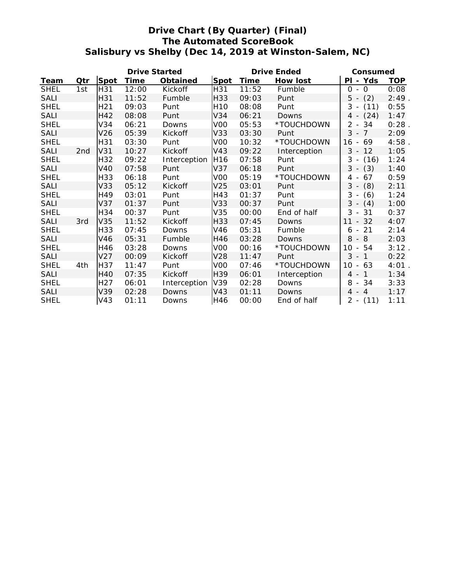# **Drive Chart (By Quarter) (Final) The Automated ScoreBook Salisbury vs Shelby (Dec 14, 2019 at Winston-Salem, NC)**

|             |                 |                 | Drive Started |              |                 |       | Drive Ended  | Consumed                              |            |
|-------------|-----------------|-----------------|---------------|--------------|-----------------|-------|--------------|---------------------------------------|------------|
| Team        | Qtr             | Spot            | Time          | Obtained     | Spot            | Time  | How lost     | PI - Yds                              | <b>TOP</b> |
| <b>SHEL</b> | 1st             | H31             | 12:00         | Kickoff      | H31             | 11:52 | Fumble       | $\Omega$<br>$\Omega$                  | 0:08       |
| <b>SALI</b> |                 | H31             | 11:52         | Fumble       | H33             | 09:03 | Punt         | (2)<br>$5 -$                          | 2:49       |
| <b>SHEL</b> |                 | H <sub>21</sub> | 09:03         | Punt         | H <sub>10</sub> | 08:08 | Punt         | 3<br>(11)                             | 0:55       |
| <b>SALI</b> |                 | H42             | 08:08         | Punt         | V34             | 06:21 | Downs        | (24)<br>$4 -$                         | 1:47       |
| <b>SHEL</b> |                 | V34             | 06:21         | Downs        | VOO             | 05:53 | *TOUCHDOWN   | 2<br>34<br>$\sim$                     | 0:28       |
| <b>SALI</b> |                 | V <sub>26</sub> | 05:39         | Kickoff      | V33             | 03:30 | Punt         | $3 - 7$                               | 2:09       |
| <b>SHEL</b> |                 | H31             | 03:30         | Punt         | VOO             | 10:32 | *TOUCHDOWN   | 69<br>16 -                            | 4:58       |
| <b>SALI</b> | 2 <sub>nd</sub> | V31             | 10:27         | Kickoff      | V43             | 09:22 | Interception | $3 -$<br>12                           | 1:05       |
| <b>SHEL</b> |                 | H32             | 09:22         | Interception | H <sub>16</sub> | 07:58 | Punt         | 3<br>(16)<br>$\overline{\phantom{a}}$ | 1:24       |
| <b>SALI</b> |                 | <b>V40</b>      | 07:58         | Punt         | V37             | 06:18 | Punt         | $3 - (3)$                             | 1:40       |
| <b>SHEL</b> |                 | H33             | 06:18         | Punt         | VOO             | 05:19 | *TOUCHDOWN   | 67<br>4<br>$\overline{\phantom{a}}$   | 0:59       |
| <b>SALI</b> |                 | V33             | 05:12         | Kickoff      | V25             | 03:01 | Punt         | (8)<br>$3 -$                          | 2:11       |
| <b>SHEL</b> |                 | H49             | 03:01         | Punt         | H43             | 01:37 | Punt         | 3<br>(6)<br>$\overline{\phantom{a}}$  | 1:24       |
| <b>SALI</b> |                 | V37             | 01:37         | Punt         | V33             | 00:37 | Punt         | $3 -$<br>(4)                          | 1:00       |
| <b>SHEL</b> |                 | H34             | 00:37         | Punt         | V35             | 00:00 | End of half  | 3<br>$-31$                            | 0:37       |
| <b>SALI</b> | 3rd             | V35             | 11:52         | Kickoff      | H33             | 07:45 | Downs        | 11<br>32<br>$\overline{\phantom{a}}$  | 4:07       |
| <b>SHEL</b> |                 | H33             | 07:45         | Downs        | V46             | 05:31 | Fumble       | 21<br>6<br>$\overline{\phantom{a}}$   | 2:14       |
| <b>SALI</b> |                 | V46             | 05:31         | Fumble       | H46             | 03:28 | Downs        | 8<br>$-8$                             | 2:03       |
| <b>SHEL</b> |                 | H46             | 03:28         | Downs        | VOO             | 00:16 | *TOUCHDOWN   | 10<br>54<br>$\overline{\phantom{a}}$  | 3:12       |
| <b>SALI</b> |                 | V <sub>27</sub> | 00:09         | Kickoff      | V28             | 11:47 | Punt         | 3<br>-1<br>$\overline{\phantom{a}}$   | 0:22       |
| <b>SHEL</b> | 4th             | H37             | 11:47         | Punt         | V <sub>00</sub> | 07:46 | *TOUCHDOWN   | $10 -$<br>63                          | 4:01       |
| <b>SALI</b> |                 | <b>H40</b>      | 07:35         | Kickoff      | H39             | 06:01 | Interception | $\overline{1}$<br>$4 -$               | 1:34       |
| <b>SHEL</b> |                 | H <sub>27</sub> | 06:01         | Interception | V39             | 02:28 | Downs        | 8<br>34<br>$\overline{\phantom{a}}$   | 3:33       |
| <b>SALI</b> |                 | V39             | 02:28         | Downs        | V43             | 01:11 | Downs        | $4 - 4$                               | 1:17       |
| <b>SHEL</b> |                 | V43             | 01:11         | Downs        | H46             | 00:00 | End of half  | $2 -$<br>(11)                         | 1:11       |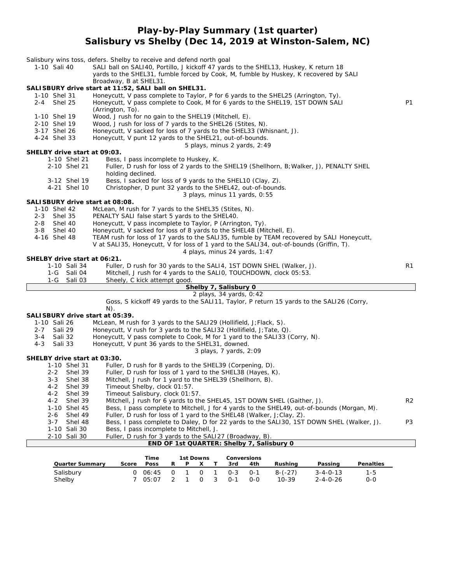#### **Play-by-Play Summary (1st quarter) Salisbury vs Shelby (Dec 14, 2019 at Winston-Salem, NC)**

| 1-10 Sali 40 |                    |                    | Salisbury wins toss, defers. Shelby to receive and defend north goal<br>SALI ball on SALI40, Portillo, J kickoff 47 yards to the SHEL13, Huskey, K return 18<br>yards to the SHEL31, fumble forced by Cook, M, fumble by Huskey, K recovered by SALI<br>Broadway, B at SHEL31. |                |
|--------------|--------------------|--------------------|--------------------------------------------------------------------------------------------------------------------------------------------------------------------------------------------------------------------------------------------------------------------------------|----------------|
|              |                    |                    | SALISBURY drive start at 11:52, SALI ball on SHEL31.                                                                                                                                                                                                                           |                |
| 1-10 Shel 31 |                    |                    | Honeycutt, V pass complete to Taylor, P for 6 yards to the SHEL25 (Arrington, Ty).                                                                                                                                                                                             |                |
| 2-4          | Shel 25            |                    | Honeycutt, V pass complete to Cook, M for 6 yards to the SHEL19, 1ST DOWN SALI                                                                                                                                                                                                 | P <sub>1</sub> |
|              |                    |                    | (Arrington, To).                                                                                                                                                                                                                                                               |                |
| 1-10 Shel 19 |                    |                    | Wood, J rush for no gain to the SHEL19 (Mitchell, E).                                                                                                                                                                                                                          |                |
| 2-10 Shel 19 |                    |                    | Wood, J rush for loss of 7 yards to the SHEL26 (Stites, N).                                                                                                                                                                                                                    |                |
| 3-17 Shel 26 |                    |                    | Honeycutt, V sacked for loss of 7 yards to the SHEL33 (Whisnant, J).                                                                                                                                                                                                           |                |
| 4-24 Shel 33 |                    |                    | Honeycutt, V punt 12 yards to the SHEL21, out-of-bounds.                                                                                                                                                                                                                       |                |
|              |                    |                    | 5 plays, minus 2 yards, 2:49                                                                                                                                                                                                                                                   |                |
|              |                    |                    | SHELBY drive start at 09:03.                                                                                                                                                                                                                                                   |                |
|              |                    | 1-10 Shel 21       | Bess, I pass incomplete to Huskey, K.                                                                                                                                                                                                                                          |                |
|              |                    | 2-10 Shel 21       | Fuller, D rush for loss of 2 yards to the SHEL19 (Shellhorn, B; Walker, J), PENALTY SHEL                                                                                                                                                                                       |                |
|              |                    | 3-12 Shel 19       | holding declined.<br>Bess, I sacked for loss of 9 yards to the SHEL10 (Clay, Z).                                                                                                                                                                                               |                |
|              |                    | 4-21 Shel 10       | Christopher, D punt 32 yards to the SHEL42, out-of-bounds.                                                                                                                                                                                                                     |                |
|              |                    |                    | 3 plays, minus 11 yards, 0:55                                                                                                                                                                                                                                                  |                |
|              |                    |                    | SALI SBURY drive start at 08:08.                                                                                                                                                                                                                                               |                |
| 1-10 Shel 42 |                    |                    | McLean, M rush for 7 yards to the SHEL35 (Stites, N).                                                                                                                                                                                                                          |                |
| 2-3          | Shel 35            |                    | PENALTY SALI false start 5 yards to the SHEL40.                                                                                                                                                                                                                                |                |
| 2-8          | Shel 40            |                    | Honeycutt, V pass incomplete to Taylor, P (Arrington, Ty).                                                                                                                                                                                                                     |                |
| 3-8          | Shel 40            |                    | Honeycutt, V sacked for loss of 8 yards to the SHEL48 (Mitchell, E).                                                                                                                                                                                                           |                |
| 4-16 Shel 48 |                    |                    | TEAM rush for loss of 17 yards to the SALI35, fumble by TEAM recovered by SALI Honeycutt,                                                                                                                                                                                      |                |
|              |                    |                    | V at SALI35, Honeycutt, V for loss of 1 yard to the SALI34, out-of-bounds (Griffin, T).                                                                                                                                                                                        |                |
|              |                    |                    | 4 plays, minus 24 yards, 1:47                                                                                                                                                                                                                                                  |                |
|              |                    |                    | SHELBY drive start at 06:21.                                                                                                                                                                                                                                                   |                |
|              |                    | 1-10 Sali 34       | Fuller, D rush for 30 yards to the SALI4, 1ST DOWN SHEL (Walker, J).                                                                                                                                                                                                           | R <sub>1</sub> |
|              |                    | 1-G Sali 04        | Mitchell, J rush for 4 yards to the SALIO, TOUCHDOWN, clock 05:53.                                                                                                                                                                                                             |                |
|              | 1-G                | Sali 03            | Sheely, C kick attempt good.<br>Shelby 7, Salisbury 0                                                                                                                                                                                                                          |                |
|              |                    |                    | 2 plays, 34 yards, 0:42                                                                                                                                                                                                                                                        |                |
|              |                    |                    | Goss, S kickoff 49 yards to the SALI11, Taylor, P return 15 yards to the SALI26 (Corry,<br>$N$ ).                                                                                                                                                                              |                |
|              |                    |                    | SALISBURY drive start at 05:39.                                                                                                                                                                                                                                                |                |
| 1-10 Sali 26 |                    |                    | McLean, M rush for 3 yards to the SALI29 (Hollifield, J; Flack, S).                                                                                                                                                                                                            |                |
| $2 - 7$      | Sali 29            |                    | Honeycutt, V rush for 3 yards to the SALI32 (Hollifield, J; Tate, Q).                                                                                                                                                                                                          |                |
| $3 - 4$      | Sali 32            |                    | Honeycutt, V pass complete to Cook, M for 1 yard to the SALI33 (Corry, N).                                                                                                                                                                                                     |                |
| $4 - 3$      | Sali 33            |                    | Honeycutt, V punt 36 yards to the SHEL31, downed.                                                                                                                                                                                                                              |                |
|              |                    |                    | 3 plays, 7 yards, 2:09                                                                                                                                                                                                                                                         |                |
|              |                    |                    | SHELBY drive start at 03:30.                                                                                                                                                                                                                                                   |                |
|              |                    | 1-10 Shel 31       | Fuller, D rush for 8 yards to the SHEL39 (Corpening, D).                                                                                                                                                                                                                       |                |
|              | $2 - 2$            | Shel 39            | Fuller, D rush for loss of 1 yard to the SHEL38 (Hayes, K).                                                                                                                                                                                                                    |                |
|              | $3 - 3$<br>$4 - 2$ | Shel 38<br>Shel 39 | Mitchell, J rush for 1 yard to the SHEL39 (Shellhorn, B).<br>Timeout Shelby, clock 01:57.                                                                                                                                                                                      |                |
|              | $4 - 2$            | Shel 39            | Timeout Salisbury, clock 01:57.                                                                                                                                                                                                                                                |                |
|              | $4 - 2$            | Shel 39            | Mitchell, J rush for 6 yards to the SHEL45, 1ST DOWN SHEL (Gaither, J).                                                                                                                                                                                                        | R <sub>2</sub> |
|              |                    | 1-10 Shel 45       | Bess, I pass complete to Mitchell, J for 4 yards to the SHEL49, out-of-bounds (Morgan, M).                                                                                                                                                                                     |                |
|              | 2-6                | Shel 49            | Fuller, D rush for loss of 1 yard to the SHEL48 (Walker, J;Clay, Z).                                                                                                                                                                                                           |                |
|              | $3 - 7$            | Shel 48            | Bess, I pass complete to Daley, D for 22 yards to the SALI30, 1ST DOWN SHEL (Walker, J).                                                                                                                                                                                       | P <sub>3</sub> |
|              |                    | 1-10 Sali 30       | Bess, I pass incomplete to Mitchell, J.                                                                                                                                                                                                                                        |                |
|              |                    | 2-10 Sali 30       | Fuller, D rush for 3 yards to the SALI27 (Broadway, B).                                                                                                                                                                                                                        |                |
|              |                    |                    |                                                                                                                                                                                                                                                                                |                |
|              |                    |                    | END OF 1st QUARTER: Shelby 7, Salisbury 0                                                                                                                                                                                                                                      |                |

|                 |       | Time        |   | 1st Downs |  | Conversions             |     |           |                  |           |
|-----------------|-------|-------------|---|-----------|--|-------------------------|-----|-----------|------------------|-----------|
| Quarter Summary | Score | <b>Poss</b> | R | P X       |  | 3rd                     | 4th | Rushina   | Passing          | Penalties |
| Salisbury       |       |             |   |           |  | 0 06:45 0 1 0 1 0-3 0-1 |     | $8-(-27)$ | $3 - 4 - 0 - 13$ | 1-5       |
| Shelby          |       | 05:07       |   |           |  | 2 1 0 3 0-1             | റ-റ | 10-39     | $2 - 4 - 0 - 26$ | 0-0       |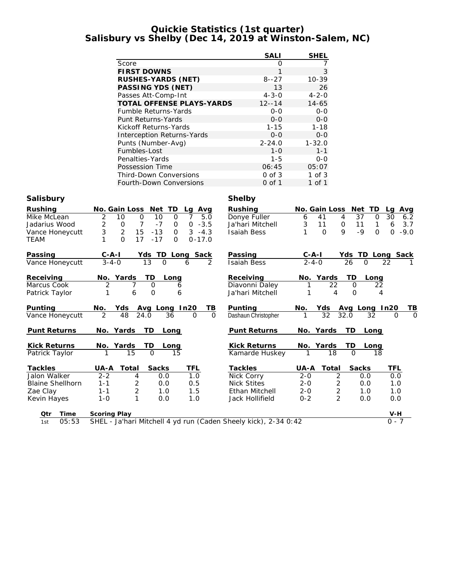#### **Quickie Statistics (1st quarter) Salisbury vs Shelby (Dec 14, 2019 at Winston-Salem, NC)**

|                               | SALI             | SHEL        |
|-------------------------------|------------------|-------------|
| Score                         | $\left( \right)$ |             |
| <b>FIRST DOWNS</b>            |                  | 3           |
| RUSHES-YARDS (NET)            | $8 - -27$        | $10 - 39$   |
| PASSING YDS (NET)             | 13               | 26          |
| Passes Att-Comp-Int           | $4 - 3 - 0$      | $4 - 2 - 0$ |
| TOTAL OFFENSE PLAYS-YARDS     | $12 - 14$        | $14 - 65$   |
| Fumble Returns-Yards          | 0-0              | 0-0         |
| Punt Returns-Yards            | $0 - 0$          | $0 - 0$     |
| Kickoff Returns-Yards         | $1 - 15$         | $1 - 18$    |
| Interception Returns-Yards    | $0 - 0$          | $O-O$       |
| Punts (Number-Avg)            | $2 - 24.0$       | $1 - 32.0$  |
| Fumbles-Lost                  | $1 - \Omega$     | $1 - 1$     |
| Penalties-Yards               | $1 - 5$          | $0 - 0$     |
| Possession Time               | 06:45            | 05:07       |
| <b>Third-Down Conversions</b> | $0$ of $3$       | $1$ of $3$  |
| Fourth-Down Conversions       | 0 of 1           | 1 of 1      |

### **Salisbury Shelby**

| Rushing                 | No. Gain Loss<br><b>TD</b><br>Net<br>Avg<br>Lg                    | Rushing                            | No. Gain Loss<br>Net            | TD<br>Avg<br>La                    |
|-------------------------|-------------------------------------------------------------------|------------------------------------|---------------------------------|------------------------------------|
| Mike McLean             | 10<br>10<br>$\overline{7}$<br>5.0<br>2<br>$\mathbf 0$<br>$\Omega$ | Donye Fuller                       | 37<br>41<br>4<br>6              | 30<br>6.2<br>$\Omega$              |
| Jadarius Wood           | $\overline{2}$<br>7<br>$-7$<br>$-3.5$<br>0<br>0<br>$\mathbf 0$    | Ja'hari Mitchell                   | 3<br>11<br>11<br>0              | 3.7<br>6<br>1                      |
| Vance Honeycutt         | 3<br>$\overline{2}$<br>15<br>$-13$<br>$3 - 4.3$<br>$\circ$        | <b>Isaiah Bess</b>                 | 9<br>$-9$<br>$\Omega$           | $-9.0$<br>$\Omega$<br>$\mathbf{O}$ |
| <b>TEAM</b>             | 17<br>$\Omega$<br>$-17$<br>$0 - 17.0$<br>$\Omega$                 |                                    |                                 |                                    |
| Passing                 | TD<br>Long Sack<br>$C - A - I$<br>Yds                             | Passing                            | $C - A - I$<br>Yds              | TD<br>Long Sack                    |
| Vance Honeycutt         | $3 - 4 - 0$<br>13<br>$\mathcal{P}$<br>$\mathbf 0$<br>6            | <b>Isaiah Bess</b>                 | $2 - 4 - 0$<br>26               | $\Omega$<br>22                     |
| Receiving               | TD<br>Yards<br>No.<br>Long                                        | Receiving                          | Yards<br>TD<br>No.              | Long                               |
| Marcus Cook             | 2<br>$\Omega$<br>6                                                | Diavonni Daley                     | 22<br>$\Omega$                  | 22                                 |
| Patrick Taylor          | 1<br>6<br>$\overline{O}$<br>6                                     | Ja'hari Mitchell                   | $\overline{4}$<br>1<br>$\Omega$ | 4                                  |
| Punting                 | No.<br>Yds<br>Avg Long In20<br><u>ТВ</u>                          | Punting                            | Yds<br>No.<br>Avg               | In20<br>ΤB<br>Long                 |
| Vance Honeycutt         | 2<br>36<br>48<br>24.0<br>$\mathbf 0$                              | Dashaun Christopher<br>$\mathbf 0$ | $\overline{32}$<br>32.0<br>1    | $\Omega$<br>32<br>$\Omega$         |
| Punt Returns            | TD<br>No. Yards<br>Long                                           | Punt Returns                       | No. Yards<br>TD                 | Long                               |
| <b>Kick Returns</b>     | TD<br>No. Yards<br>Long                                           | <b>Kick Returns</b>                | TD<br>No. Yards                 | Long                               |
| Patrick Taylor          | 15<br>$\Omega$<br>15                                              | Kamarde Huskey                     | $\overline{18}$<br>$\Omega$     | 18                                 |
| Tackles                 | Sacks<br>TFL<br>Total<br>UA-A                                     | <b>Tackles</b>                     | <b>Sacks</b><br>Total<br>UA-A   | TFL                                |
| Jalon Walker            | $2 - 2$<br>1.0<br>0.0<br>4                                        | Nick Corry                         | $2 - 0$<br>$\overline{2}$       | 0.0<br>0.0                         |
| <b>Blaine Shellhorn</b> | $\overline{2}$<br>0.5<br>$1 - 1$<br>0.0                           | <b>Nick Stites</b>                 | 2<br>$2 - 0$                    | 0.0<br>1.0                         |
| Zae Clay                | $\overline{2}$<br>1.5<br>$1 - 1$<br>1.0                           | Ethan Mitchell                     | $\sqrt{2}$<br>$2 - 0$           | 1.0<br>1.0                         |
| Kevin Hayes             | 1<br>1.0<br>$1 - 0$<br>0.0                                        | Jack Hollifield                    | $\overline{2}$<br>$0 - 2$       | 0.0<br>0.0                         |
| Time<br>Qtr             | Scoring Play                                                      |                                    |                                 | $V-H$                              |
| 05:53<br>1st            | SHEL - Ja'hari Mitchell 4 yd run (Caden Sheely kick), 2-34 0:42   |                                    |                                 | $0 - 7$                            |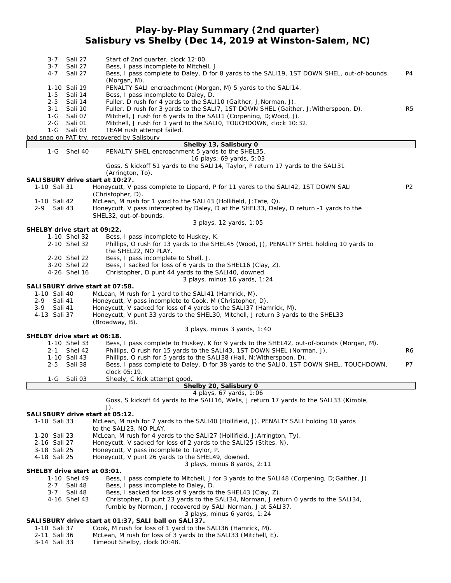#### **Play-by-Play Summary (2nd quarter) Salisbury vs Shelby (Dec 14, 2019 at Winston-Salem, NC)**

| $3 - 7$                         | Sali 27            | Start of 2nd quarter, clock 12:00.                                                                                                   |                |
|---------------------------------|--------------------|--------------------------------------------------------------------------------------------------------------------------------------|----------------|
| $3 - 7$<br>$4 - 7$              | Sali 27<br>Sali 27 | Bess, I pass incomplete to Mitchell, J.<br>Bess, I pass complete to Daley, D for 8 yards to the SALI19, 1ST DOWN SHEL, out-of-bounds | P4             |
|                                 |                    | (Morgan, M).                                                                                                                         |                |
| 1-10 Sali 19                    |                    | PENALTY SALI encroachment (Morgan, M) 5 yards to the SALI14.                                                                         |                |
| $1 - 5$                         | Sali 14            | Bess, I pass incomplete to Daley, D.                                                                                                 |                |
| $2 - 5$                         | Sali 14            | Fuller, D rush for 4 yards to the SALI10 (Gaither, J; Norman, J).                                                                    |                |
| $3 - 1$                         | Sali 10            | Fuller, D rush for 3 yards to the SALI7, 1ST DOWN SHEL (Gaither, J; Witherspoon, D).                                                 | R5             |
| 1-G                             | Sali 07            | Mitchell, J rush for 6 yards to the SALI1 (Corpening, D; Wood, J).                                                                   |                |
| $2 - G$                         | Sali 01            | Mitchell, J rush for 1 yard to the SALIO, TOUCHDOWN, clock 10:32.                                                                    |                |
| 1-G Sali 03                     |                    | TEAM rush attempt failed.                                                                                                            |                |
|                                 |                    | bad snap on PAT try, recovered by Salisbury                                                                                          |                |
|                                 |                    | Shelby 13, Salisbury 0                                                                                                               |                |
| $1-G$                           | Shel 40            | PENALTY SHEL encroachment 5 yards to the SHEL35.                                                                                     |                |
|                                 |                    | 16 plays, 69 yards, 5:03                                                                                                             |                |
|                                 |                    | Goss, S kickoff 51 yards to the SALI14, Taylor, P return 17 yards to the SALI31                                                      |                |
|                                 |                    | (Arrington, To).                                                                                                                     |                |
| SALISBURY drive start at 10:27. |                    |                                                                                                                                      |                |
| 1-10 Sali 31                    |                    | Honeycutt, V pass complete to Lippard, P for 11 yards to the SAL142, 1ST DOWN SALI                                                   | P <sub>2</sub> |
|                                 |                    | (Christopher, D).                                                                                                                    |                |
| 1-10 Sali 42                    |                    | McLean, M rush for 1 yard to the SALI43 (Hollifield, J; Tate, Q).                                                                    |                |
| $2 - 9$<br>Sali 43              |                    | Honeycutt, V pass intercepted by Daley, D at the SHEL33, Daley, D return -1 yards to the                                             |                |
|                                 |                    | SHEL32, out-of-bounds.                                                                                                               |                |
|                                 |                    | 3 plays, 12 yards, 1:05                                                                                                              |                |
| SHELBY drive start at 09:22.    |                    |                                                                                                                                      |                |
| 1-10 Shel 32                    |                    | Bess, I pass incomplete to Huskey, K.                                                                                                |                |
| 2-10 Shel 32                    |                    | Phillips, O rush for 13 yards to the SHEL45 (Wood, J), PENALTY SHEL holding 10 yards to                                              |                |
|                                 |                    | the SHEL22, NO PLAY.                                                                                                                 |                |
| 2-20 Shel 22                    |                    | Bess, I pass incomplete to Shell, J.                                                                                                 |                |
| 3-20 Shel 22                    |                    | Bess, I sacked for loss of 6 yards to the SHEL16 (Clay, Z).                                                                          |                |
| 4-26 Shel 16                    |                    | Christopher, D punt 44 yards to the SALI40, downed.                                                                                  |                |
|                                 |                    | 3 plays, minus 16 yards, 1:24                                                                                                        |                |
| SALISBURY drive start at 07:58. |                    |                                                                                                                                      |                |
| 1-10 Sali 40                    |                    | McLean, M rush for 1 yard to the SALI41 (Hamrick, M).                                                                                |                |
| 2-9 Sali 41                     |                    | Honeycutt, V pass incomplete to Cook, M (Christopher, D).                                                                            |                |
| $3 - 9$<br>Sali 41              |                    | Honeycutt, V sacked for loss of 4 yards to the SALI37 (Hamrick, M).                                                                  |                |
| 4-13 Sali 37                    |                    | Honeycutt, V punt 33 yards to the SHEL30, Mitchell, J return 3 yards to the SHEL33                                                   |                |
|                                 |                    | (Broadway, B).                                                                                                                       |                |
|                                 |                    | 3 plays, minus 3 yards, 1:40                                                                                                         |                |
| SHELBY drive start at 06:18.    |                    |                                                                                                                                      |                |
| 1-10 Shel 33                    |                    | Bess, I pass complete to Huskey, K for 9 yards to the SHEL42, out-of-bounds (Morgan, M).                                             |                |
| $2 - 1$                         | Shel 42            | Phillips, O rush for 15 yards to the SALI43, 1ST DOWN SHEL (Norman, J).                                                              | R6             |
| 1-10 Sali 43                    |                    | Phillips, O rush for 5 yards to the SALI38 (Hall, N; Witherspoon, D).                                                                |                |
| 2-5 Sali 38                     |                    | Bess, I pass complete to Daley, D for 38 yards to the SALI0, 1ST DOWN SHEL, TOUCHDOWN,                                               | P7             |
|                                 |                    | clock 05:19.                                                                                                                         |                |
| 1-G Sali 03                     |                    | Sheely, C kick attempt good.                                                                                                         |                |
|                                 |                    | Shelby 20, Salisbury 0                                                                                                               |                |
|                                 |                    | 4 plays, 67 yards, 1:06                                                                                                              |                |
|                                 |                    | Goss, S kickoff 44 yards to the SALI16, Wells, J return 17 yards to the SALI33 (Kimble,                                              |                |
|                                 |                    | J).                                                                                                                                  |                |
| SALISBURY drive start at 05:12. |                    |                                                                                                                                      |                |
| 1-10 Sali 33                    |                    | McLean, M rush for 7 yards to the SAL140 (Hollifield, J), PENALTY SALI holding 10 yards                                              |                |
|                                 |                    | to the SALI23, NO PLAY.                                                                                                              |                |
| 1-20 Sali 23                    |                    | McLean, M rush for 4 yards to the SALI27 (Hollifield, J; Arrington, Ty).                                                             |                |
| 2-16 Sali 27                    |                    | Honeycutt, V sacked for loss of 2 yards to the SALI25 (Stites, N).                                                                   |                |
| 3-18 Sali 25                    |                    | Honeycutt, V pass incomplete to Taylor, P.                                                                                           |                |
| 4-18 Sali 25                    |                    | Honeycutt, V punt 26 yards to the SHEL49, downed.                                                                                    |                |
|                                 |                    | 3 plays, minus 8 yards, 2:11                                                                                                         |                |
| SHELBY drive start at 03:01.    |                    |                                                                                                                                      |                |
| 1-10 Shel 49                    |                    | Bess, I pass complete to Mitchell, J for 3 yards to the SALI48 (Corpening, D; Gaither, J).                                           |                |
| 2-7 Sali 48                     |                    | Bess, I pass incomplete to Daley, D.                                                                                                 |                |
| $3 - 7$                         | Sali 48            |                                                                                                                                      |                |
|                                 |                    | Bess, I sacked for loss of 9 yards to the SHEL43 (Clay, Z).                                                                          |                |
| 4-16 Shel 43                    |                    | Christopher, D punt 23 yards to the SALI34, Norman, J return 0 yards to the SALI34,                                                  |                |
|                                 |                    | fumble by Norman, J recovered by SALI Norman, J at SAL137.                                                                           |                |
|                                 |                    | 3 plays, minus 6 yards, 1:24<br>SALISBURY drive start at 01:37, SALI ball on SALI37.                                                 |                |
| 1-10 Sali 37                    |                    |                                                                                                                                      |                |
| 2-11 Sali 36                    |                    | Cook, M rush for loss of 1 yard to the SALI36 (Hamrick, M).<br>McLean, M rush for loss of 3 yards to the SAL133 (Mitchell, E).       |                |
|                                 |                    |                                                                                                                                      |                |

3-14 Sali 33 Timeout Shelby, clock 00:48.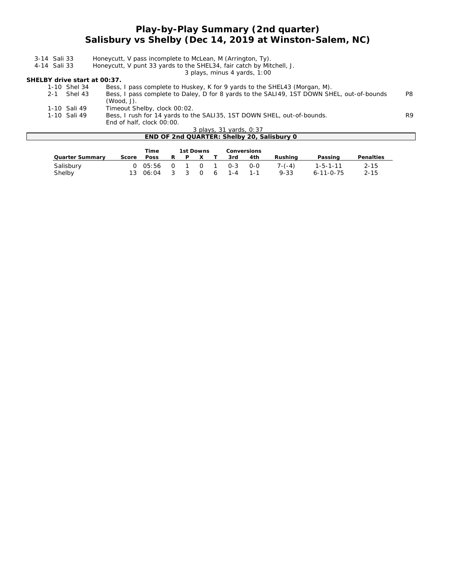#### **Play-by-Play Summary (2nd quarter) Salisbury vs Shelby (Dec 14, 2019 at Winston-Salem, NC)**

| 3-14 Sali 33                 | Honeycutt, V pass incomplete to McLean, M (Arrington, Ty).                                |    |
|------------------------------|-------------------------------------------------------------------------------------------|----|
| 4-14 Sali 33                 | Honeycutt, V punt 33 yards to the SHEL34, fair catch by Mitchell, J.                      |    |
|                              | 3 plays, minus 4 yards, 1:00                                                              |    |
| SHELBY drive start at 00:37. |                                                                                           |    |
| 1-10 Shel 34                 | Bess, I pass complete to Huskey, K for 9 yards to the SHEL43 (Morgan, M).                 |    |
| 2-1 Shel 43                  | Bess, I pass complete to Daley, D for 8 yards to the SALI49, 1ST DOWN SHEL, out-of-bounds | P8 |
|                              | $(Wood, J)$ .                                                                             |    |
| 1-10 Sali 49                 | Timeout Shelby, clock 00:02.                                                              |    |
| 1-10 Sali 49                 | Bess, I rush for 14 yards to the SALI35, 1ST DOWN SHEL, out-of-bounds.                    | R9 |
|                              | End of half, clock 00:00.                                                                 |    |
|                              | 3 plays, 31 yards, 0:37                                                                   |    |
|                              | END OF 2nd QUARTER: Shelby 20, Salisbury 0                                                |    |

|                 |       | Time |   | 1st Downs |            | Conversions              |     |          |                   |           |
|-----------------|-------|------|---|-----------|------------|--------------------------|-----|----------|-------------------|-----------|
| Quarter Summary | Score | Poss | R | - P       | $\times$ X | 3rd                      | 4th | Rushina  | Passing           | Penalties |
| Salisbury       |       |      |   |           |            | 0 05:56 0 1 0 1 0-3 0-0  |     | $7-(-4)$ | 1-5-1-11          | $2 - 15$  |
| Shelby          |       |      |   |           |            | 13 06:04 3 3 0 6 1-4 1-1 |     | 9-33     | $6 - 11 - 0 - 75$ | $2 - 15$  |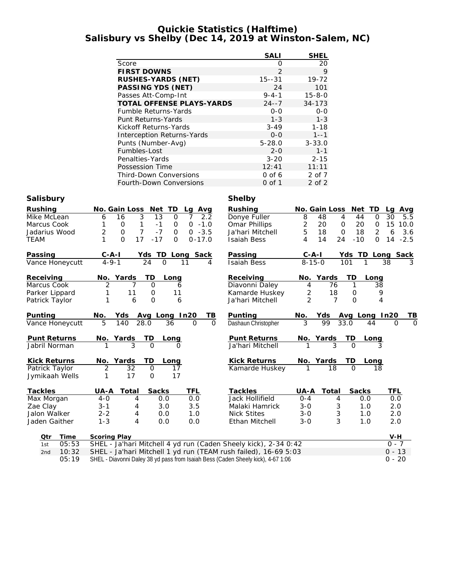#### **Quickie Statistics (Halftime) Salisbury vs Shelby (Dec 14, 2019 at Winston-Salem, NC)**

|                                  | SALI          | <b>SHEL</b>  |
|----------------------------------|---------------|--------------|
| Score                            | ∩             | 20           |
| <b>FIRST DOWNS</b>               | $\mathcal{P}$ | 9            |
| RUSHES-YARDS (NET)               | $15 - -31$    | $19 - 72$    |
| PASSING YDS (NET)                | 24            | 101          |
| Passes Att-Comp-Int              | $9 - 4 - 1$   | $15 - 8 - 0$ |
| <b>TOTAL OFFENSE PLAYS-YARDS</b> | $24 - -7$     | $34 - 173$   |
| <b>Fumble Returns-Yards</b>      | $0 - 0$       | $0 - 0$      |
| Punt Returns-Yards               | $1 - 3$       | $1 - 3$      |
| Kickoff Returns-Yards            | $3 - 49$      | $1 - 18$     |
| Interception Returns-Yards       | $0 - 0$       | $1 - -1$     |
| Punts (Number-Avg)               | $5 - 28.0$    | $3 - 33.0$   |
| Fumbles-Lost                     | $2 - 0$       | $1 - 1$      |
| Penalties-Yards                  | $3 - 20$      | $2 - 15$     |
| Possession Time                  | 12:41         | 11:11        |
| <b>Third-Down Conversions</b>    | $0$ of 6      | 2 of 7       |
| Fourth-Down Conversions          | 0 of 1        | 2 of 2       |

### **Salisbury Shelby**

| Rushing             | No. Gain Loss<br>Net<br>TD<br>Lg Avg                                                                        | Rushing             | No. Gain Loss<br>Net                         | <b>TD</b><br>Lg Avg                    |
|---------------------|-------------------------------------------------------------------------------------------------------------|---------------------|----------------------------------------------|----------------------------------------|
| Mike McLean         | $\overline{3}$<br>13<br>16<br>$\mathbf{O}$<br>7<br>2.2<br>6                                                 | Donye Fuller        | 8<br>48<br>4<br>44                           | $\overline{30}$<br>$\mathbf{O}$<br>5.5 |
| Marcus Cook         | $\mathsf{O}\xspace$<br>1<br>$-1$<br>$-1.0$<br>0<br>$\mathbf 0$                                              | Omar Phillips       | $\overline{c}$<br>$\mathbf 0$<br>20<br>20    | 15<br>$\mathsf{O}$<br>10.0             |
| Jadarius Wood       | $\overline{7}$<br>$\overline{2}$<br>$-7$<br>$\mathsf{O}\xspace$<br>$-3.5$<br>$\overline{O}$<br>$\mathbf{O}$ | Ja'hari Mitchell    | 5<br>$\mathsf{O}\xspace$<br>18<br>18         | $\overline{c}$<br>3.6<br>6             |
| <b>TEAM</b>         | $\Omega$<br>17<br>$-17$<br>$0 - 17.0$<br>$\Omega$                                                           | <b>Isaiah Bess</b>  | 14<br>24<br>$-10$<br>4                       | $-2.5$<br>$\Omega$<br>14               |
| Passing             | $C - A - I$<br>TD Long Sack<br>Yds                                                                          | Passing             | $C - A - I$                                  | Yds TD Long Sack                       |
| Vance Honeycutt     | $4 - 9 - 1$<br>24<br>$\Omega$<br>11<br>4                                                                    | <b>Isaiah Bess</b>  | $8 - 15 - 0$<br>101                          | 38<br>3<br>1                           |
| Receiving           | Yards<br>TD<br>No.<br>Long                                                                                  | Receiving           | TD<br>Yards<br>No.                           | Long                                   |
| Marcus Cook         | 2<br>$\overline{7}$<br>$\Omega$<br>6                                                                        | Diavonni Daley      | 76<br>$\mathbf{1}$<br>4                      | 38                                     |
| Parker Lippard      | 11<br>11<br>1<br>0                                                                                          | Kamarde Huskey      | 2<br>18<br>0                                 | 9                                      |
| Patrick Taylor      | 1<br>$\overline{O}$<br>6<br>6                                                                               | Ja'hari Mitchell    | $\overline{2}$<br>$\overline{7}$<br>$\Omega$ | 4                                      |
| Punting             | No.<br>Avg Long In20<br>TВ<br>Yds                                                                           | Punting             | No.<br>Yds<br>Avg Long                       | In20<br>TВ                             |
| Vance Honeycutt     | 5<br>28.0<br>$\mathbf{O}$<br>$\overline{O}$<br>140<br>36                                                    | Dashaun Christopher | 3<br>99<br>33.0                              | $\Omega$<br>$\Omega$<br>44             |
| Punt Returns        | TD<br>No. Yards<br>Long                                                                                     | Punt Returns        | TD<br>No. Yards                              | Long                                   |
| Jabril Norman       | 3<br>$\Omega$                                                                                               | Ja'hari Mitchell    | $\overline{3}$<br>$\Omega$                   |                                        |
| <b>Kick Returns</b> | No. Yards<br>TD<br>Long                                                                                     | <b>Kick Returns</b> | TD<br>No. Yards                              | Long                                   |
| Patrick Taylor      | $\overline{2}$<br>32<br>$\mathbf{O}$<br>17                                                                  | Kamarde Huskey      | 18<br>$\Omega$                               | 18                                     |
| Jymikaah Wells      | 17<br>17<br>$\mathbf{O}$<br>1                                                                               |                     |                                              |                                        |
| Tackles             | Total<br>Sacks<br>TFL<br>UA-A                                                                               | Tackles             | Sacks<br>UA-A<br>Total                       | TFL                                    |
| Max Morgan          | $4-0$<br>4<br>0.0<br>0.0                                                                                    | Jack Hollifield     | $O - 4$<br>4                                 | 0.0<br>0.0                             |
| Zae Clay            | $3 - 1$<br>3.5<br>3.0<br>4                                                                                  | Malaki Hamrick      | 3<br>$3 - 0$                                 | 1.0<br>2.0                             |
| Jalon Walker        | $2 - 2$<br>4<br>0.0<br>1.0                                                                                  | <b>Nick Stites</b>  | 3<br>$3 - 0$                                 | 1.0<br>2.0                             |
| Jaden Gaither       | $1 - 3$<br>4<br>0.0<br>0.0                                                                                  | Ethan Mitchell      | 3<br>$3 - 0$                                 | 2.0<br>1.0                             |
|                     |                                                                                                             |                     |                                              |                                        |
| Time<br>Qtr         | Scoring Play                                                                                                |                     |                                              | $V-H$                                  |
| 05:53<br>1st        | SHEL - Ja'hari Mitchell 4 yd run (Caden Sheely kick), 2-34 0:42                                             |                     |                                              | $0 - 7$                                |
| 10:32<br>2nd        | SHEL - Ja'hari Mitchell 1 yd run (TEAM rush failed), 16-69 5:03                                             |                     |                                              | $0 - 13$                               |
| 05:19               | SHEL - Diavonni Daley 38 yd pass from Isaiah Bess (Caden Sheely kick), 4-67 1:06                            |                     |                                              | $0 - 20$                               |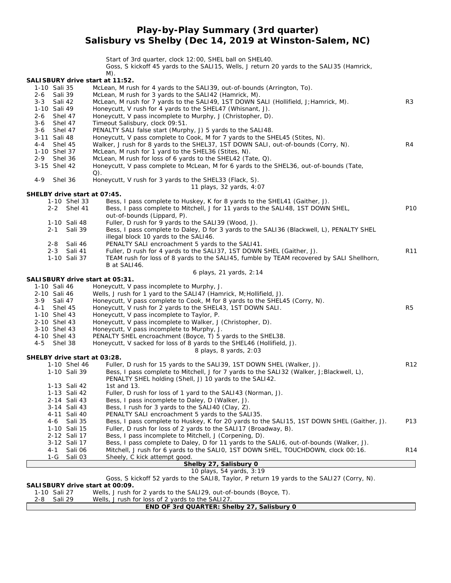**Play-by-Play Summary (3rd quarter) Salisbury vs Shelby (Dec 14, 2019 at Winston-Salem, NC)**

Start of 3rd quarter, clock 12:00, SHEL ball on SHEL40. Goss, S kickoff 45 yards to the SALI15, Wells, J return 20 yards to the SALI35 (Hamrick, M) **SALISBURY drive start at 11:52.** 1-10 Sali 35 McLean, M rush for 4 yards to the SALI39, out-of-bounds (Arrington, To). 2-6 Sali 39 McLean, M rush for 3 yards to the SALI42 (Hamrick, M). 3-3 Sali 42 McLean, M rush for 7 yards to the SALI49, 1ST DOWN SALI (Hollifield, J; Hamrick, M).<br>1-10 Sali 49 Honeycutt, V rush for 4 yards to the SHEL47 (Whisnant, J). Honeycutt, V rush for 4 yards to the SHEL47 (Whisnant, J). 2-6 Shel 47 Honeycutt, V pass incomplete to Murphy, J (Christopher, D).<br>3-6 Shel 47 Timeout Salisbury, clock 09:51. Timeout Salisbury, clock 09:51. 3-6 Shel 47 PENALTY SALI false start (Murphy, J) 5 yards to the SALI48. 3-11 Sali 48 Honeycutt, V pass complete to Cook, M for 7 yards to the SHEL45 (Stites, N). 4-4 Shel 45 Walker, J rush for 8 yards to the SHEL37, 1ST DOWN SALI, out-of-bounds (Corry, N). R4 1-10 Shel 37 McLean, M rush for 1 yard to the SHEL36 (Stites, N). 2-9 Shel 36 McLean, M rush for loss of 6 yards to the SHEL42 (Tate, Q).<br>2-15 Shel 42 Honevcutt. V pass complete to McLean. M for 6 vards to the Honeycutt, V pass complete to McLean, M for 6 yards to the SHEL36, out-of-bounds (Tate,  $($ 4-9 Shel 36 Honeycutt, V rush for 3 yards to the SHEL33 (Flack, S). *11 plays, 32 yards, 4:07* **SHELBY drive start at 07:45.** 1-10 Shel 33 Bess, I pass complete to Huskey, K for 8 yards to the SHEL41 (Gaither, J). 2-2 Shel 41 Bess, I pass complete to Mitchell, J for 11 yards to the SALI48, 1ST DOWN SHEL, out-of-bounds (Lippard, P). 1-10 Sali 48 Fuller, D rush for 9 yards to the SALI39 (Wood, J). 2-1 Sali 39 Bess, I pass complete to Daley, D for 3 yards to the SALI36 (Blackwell, L), PENALTY SHEL illegal block 10 yards to the SALI46. 2-8 Sali 46 PENALTY SALI encroachment 5 yards to the SALI41. 2-3 Sali 41 Fuller, D rush for 4 yards to the SALI37, 1ST DOWN SHEL (Gaither, J). R11 1-10 Sali 37 TEAM rush for loss of 8 yards to the SALI45, fumble by TEAM recovered by SALI Shellhorn, B at SALI46. *6 plays, 21 yards, 2:14* **SALISBURY drive start at 05:31.** 1-10 Sali 46 Honeycutt, V pass incomplete to Murphy, J. 2-10 Sali 46 Wells, J rush for 1 yard to the SALI47 (Hamrick, M;Hollifield, J). 3-9 Sali 47 Honeycutt, V pass complete to Cook, M for 8 yards to the SHEL45 (Corry, N). 4-1 Shel 45 Honeycutt, V rush for 2 yards to the SHEL43, 1ST DOWN SALI. R5 1-10 Shel 43 Honeycutt, V pass incomplete to Taylor, P. 2-10 Shel 43 Honeycutt, V pass incomplete to Walker, J (Christopher, D). 3-10 Shel 43 Honeycutt, V pass incomplete to Murphy, J. 4-10 Shel 43 PENALTY SHEL encroachment (Boyce, T) 5 yards to the SHEL38. 4-5 Shel 38 Honeycutt, V sacked for loss of 8 yards to the SHEL46 (Hollifield, J). *8 plays, 8 yards, 2:03* **SHELBY drive start at 03:28.** 1-10 Shel 46 Fuller, D rush for 15 yards to the SALI39, 1ST DOWN SHEL (Walker, J). Research to R12 R12<br>1-10 Sali 39 Bess. Loass complete to Mitchell. J for 7 yards to the SALI32 (Walker, J:Blackwell, L). Bess, I pass complete to Mitchell, J for 7 yards to the SALI32 (Walker, J; Blackwell, L), PENALTY SHEL holding (Shell, J) 10 yards to the SALI42. 1-13 Sali 42 1st and 13. 1-13 Sali 42 Fuller, D rush for loss of 1 yard to the SALI43 (Norman, J). 2-14 Sali 43 Bess, I pass incomplete to Daley, D (Walker, J). 3-14 Sali 43 Bess, I rush for 3 yards to the SALI40 (Clay, Z). 4-11 Sali 40 PENALTY SALI encroachment 5 yards to the SALI35. 4-6 Sali 35 Bess, I pass complete to Huskey, K for 20 yards to the SALI15, 1ST DOWN SHEL (Gaither, J). P13 1-10 Sali 15 Fuller, D rush for loss of 2 yards to the SALI17 (Broadway, B). 2-12 Sali 17 Bess, I pass incomplete to Mitchell, J (Corpening, D). 3-12 Sali 17 Bess, I pass complete to Daley, D for 11 yards to the SALI6, out-of-bounds (Walker, J). 4-1 Sali 06 Mitchell, J rush for 6 yards to the SALI0, 1ST DOWN SHEL, TOUCHDOWN, clock 00:16. R14 1-G Sali 03 Sheely, C kick attempt good. **Shelby 27, Salisbury 0** *10 plays, 54 yards, 3:19* Goss, S kickoff 52 yards to the SALI8, Taylor, P return 19 yards to the SALI27 (Corry, N). **SALISBURY drive start at 00:09.**

1-10 Sali 27 Wells, J rush for 2 yards to the SALI29, out-of-bounds (Boyce, T). 2-8 Sali 29 Wells, J rush for loss of 2 yards to the SALI27.

| END OF 3rd QUARTER: Shelby 27, Salisbury 0 |
|--------------------------------------------|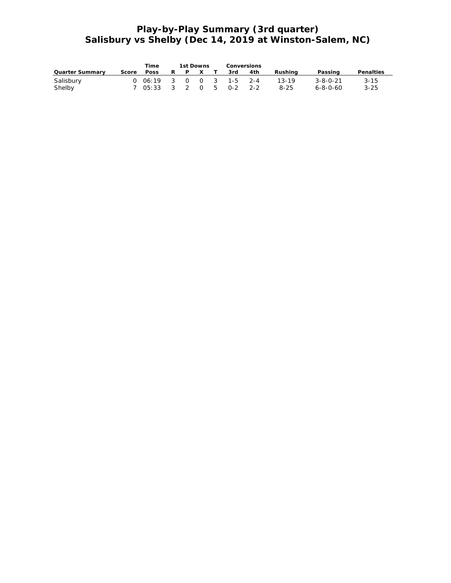## **Play-by-Play Summary (3rd quarter) Salisbury vs Shelby (Dec 14, 2019 at Winston-Salem, NC)**

|                 |            | Time |  | 1st Downs | Conversions             |     |          |                  |           |
|-----------------|------------|------|--|-----------|-------------------------|-----|----------|------------------|-----------|
| Quarter Summary | Score Poss |      |  | RPXT      | 3rd                     | 4th | Rushina  | Passing          | Penalties |
| Salisbury       |            |      |  |           | 0 06:19 3 0 0 3 1-5 2-4 |     | 13-19    | 3-8-0-21         | $3 - 15$  |
| Shelby          |            |      |  |           | 7 05:33 3 2 0 5 0-2 2-2 |     | $8 - 25$ | $6 - 8 - 0 - 60$ | $3 - 25$  |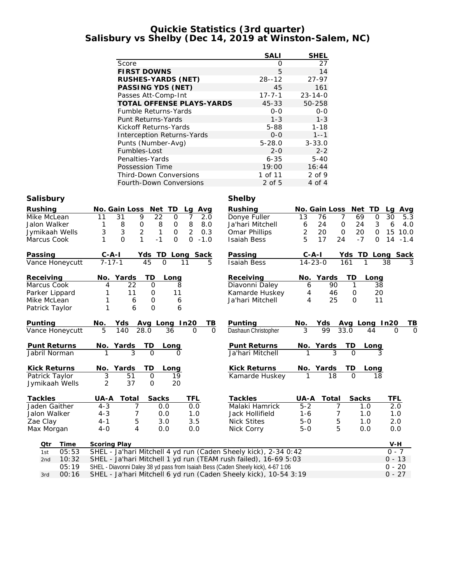#### **Quickie Statistics (3rd quarter) Salisbury vs Shelby (Dec 14, 2019 at Winston-Salem, NC)**

|                                  | <b>SALI</b>  | <b>SHEL</b>   |
|----------------------------------|--------------|---------------|
| Score                            | ∩            | 27            |
| <b>FIRST DOWNS</b>               | 5            | 14            |
| RUSHES-YARDS (NET)               | $28 - 12$    | $27 - 97$     |
| PASSING YDS (NET)                | 45           | 161           |
| Passes Att-Comp-Int              | $17 - 7 - 1$ | $23 - 14 - 0$ |
| <b>TOTAL OFFENSE PLAYS-YARDS</b> | $45 - 33$    | 50-258        |
| <b>Fumble Returns-Yards</b>      | $O - O$      | $0 - 0$       |
| Punt Returns-Yards               | $1 - 3$      | $1 - 3$       |
| Kickoff Returns-Yards            | $5 - 88$     | $1 - 18$      |
| Interception Returns-Yards       | $0 - 0$      | $1 - -1$      |
| Punts (Number-Avg)               | $5 - 28.0$   | $3 - 33.0$    |
| Fumbles-Lost                     | $2 - 0$      | $2 - 2$       |
| Penalties-Yards                  | $6 - 35$     | $5 - 40$      |
| Possession Time                  | 19:00        | 16:44         |
| <b>Third-Down Conversions</b>    | 1 of 11      | $2$ of 9      |
| Fourth-Down Conversions          | 2 of 5       | 4 of 4        |

### **Salisbury Shelby**

| Rushing             | No. Gain Loss<br>TD<br>Net<br>Avg<br>Lg                                                     | Rushing             | No. Gain Loss<br>Net<br><b>TD</b>                          | Avg<br>La            |  |  |  |  |
|---------------------|---------------------------------------------------------------------------------------------|---------------------|------------------------------------------------------------|----------------------|--|--|--|--|
| Mike McLean         | $\overline{7}$<br>11<br>31<br>9<br>22<br>$\Omega$<br>2.0                                    | Donye Fuller        | $\overline{7}$<br>13<br>69<br>76<br>O                      | 30<br>5.3            |  |  |  |  |
| Jalon Walker        | 8<br>8<br>8.0<br>1<br>8<br>$\mathsf O$<br>$\mathsf{O}\xspace$                               | Ja'hari Mitchell    | 3<br>24<br>24<br>$\mathsf O$<br>6                          | 6<br>4.0             |  |  |  |  |
| Jymikaah Wells      | $\mathsf 3$<br>$\overline{2}$<br>3<br>$\mathbf{1}$<br>$\overline{2}$<br>0.3<br>$\mathsf{O}$ | Omar Phillips       | $\overline{2}$<br>$\mathsf{O}$<br>20<br>$\mathsf{O}$<br>20 | 15<br>10.0           |  |  |  |  |
| Marcus Cook         | $\Omega$<br>1<br>$-1$<br>1<br>$\overline{O}$<br>0<br>$-1.0$                                 | <b>Isaiah Bess</b>  | 5<br>$-7$<br>17<br>24<br>O                                 | 14<br>$-1.4$         |  |  |  |  |
| Passing             | TD<br>$C - A - I$<br>Sack<br>Yds<br>Long                                                    | Passing             | $C-A-I$<br>TD<br>Yds                                       | Long Sack            |  |  |  |  |
| Vance Honeycutt     | $7 - 17 - 1$<br>45<br>$\circ$<br>11<br>5                                                    | <b>Isaiah Bess</b>  | $14 - 23 - 0$<br>161<br>1                                  | 3<br>38              |  |  |  |  |
| Receiving           | Yards<br>TD<br>No.<br>Long                                                                  | Receiving           | Yards<br>TD<br>No.<br>Long                                 |                      |  |  |  |  |
| Marcus Cook         | $\Omega$<br>22<br>4<br>8                                                                    | Diavonni Daley      | 90<br>$\mathbf{1}$<br>6                                    | $\overline{38}$      |  |  |  |  |
| Parker Lippard      | 11<br>11<br>0                                                                               | Kamarde Huskey      | 46<br>0<br>4                                               | 20                   |  |  |  |  |
| Mike McLean         | 1<br>6<br>0<br>6                                                                            | Ja'hari Mitchell    | 25<br>$\Omega$<br>4                                        | 11                   |  |  |  |  |
| Patrick Taylor      | $\Omega$<br>1<br>6<br>6                                                                     |                     |                                                            |                      |  |  |  |  |
| Punting             | No.<br>Yds<br>Avg Long In20<br><u>ТВ</u>                                                    | Punting             | No.<br>Yds<br>Avg Long In20                                | TВ                   |  |  |  |  |
| Vance Honeycutt     | 5<br>140<br>28.0<br>36<br>$\Omega$<br>$\Omega$                                              | Dashaun Christopher | 3<br>99<br>33.0<br>44                                      | $\Omega$<br>$\Omega$ |  |  |  |  |
| <b>Punt Returns</b> | Yards<br>ТD<br>No.<br>Long                                                                  | Punt Returns        | TD<br>No. Yards<br><u>Long</u>                             |                      |  |  |  |  |
| Jabril Norman       | $\Omega$                                                                                    | Ja'hari Mitchell    |                                                            |                      |  |  |  |  |
| <b>Kick Returns</b> | Yards<br>TD<br>No.<br>Long                                                                  | <b>Kick Returns</b> | No. Yards<br>TD<br>Long                                    |                      |  |  |  |  |
| Patrick Taylor      | 3<br>51<br>$\overline{O}$<br>19                                                             | Kamarde Huskey      | 18<br>$\Omega$<br>18                                       |                      |  |  |  |  |
| Jymikaah Wells      | 2<br>37<br>$\mathbf 0$<br>20                                                                |                     |                                                            |                      |  |  |  |  |
| Tackles             | Total<br>Sacks<br>TFL<br>UA-A                                                               | Tackles             | Sacks<br>UA-A<br>Total                                     | TFL                  |  |  |  |  |
| Jaden Gaither       | 0.0<br>$4 - 3$<br>0.0<br>7                                                                  | Malaki Hamrick      | $5 - 2$<br>7<br>1.0                                        | 2.0                  |  |  |  |  |
| Jalon Walker        | $4 - 3$<br>1.0<br>7<br>0.0                                                                  | Jack Hollifield     | $1 - 6$<br>7<br>1.0                                        | 1.0                  |  |  |  |  |
| Zae Clay            | 5<br>3.0<br>3.5<br>$4 - 1$                                                                  | <b>Nick Stites</b>  | 5<br>$5-0$<br>1.0                                          | 2.0                  |  |  |  |  |
| Max Morgan          | 4<br>0.0<br>0.0<br>$4-0$                                                                    | Nick Corry          | 5<br>$5-0$<br>0.0                                          | 0.0                  |  |  |  |  |
| Time<br>Qtr         | Scoring Play                                                                                |                     |                                                            | V-H                  |  |  |  |  |
| 05:53<br>1st        | SHEL - Ja'hari Mitchell 4 yd run (Caden Sheely kick), 2-34 0:42                             |                     |                                                            |                      |  |  |  |  |
| 10:32<br>2nd        | SHEL - Ja'hari Mitchell 1 yd run (TEAM rush failed), 16-69 5:03                             |                     |                                                            | $0 - 7$<br>$0 - 13$  |  |  |  |  |
| 05:19               | SHEL - Diavonni Daley 38 yd pass from Isaiah Bess (Caden Sheely kick), 4-67 1:06            |                     |                                                            | $0 - 20$             |  |  |  |  |
|                     |                                                                                             |                     |                                                            |                      |  |  |  |  |

3rd 00:16 SHEL - Ja'hari Mitchell 6 yd run (Caden Sheely kick), 10-54 3:19 0 - 27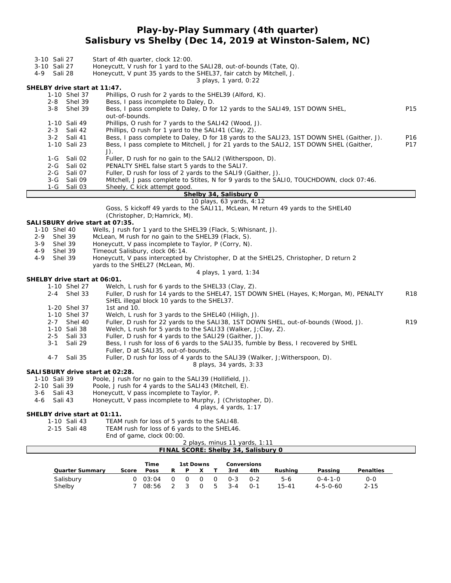### **Play-by-Play Summary (4th quarter) Salisbury vs Shelby (Dec 14, 2019 at Winston-Salem, NC)**

| 3-10 Sali 27<br>3-10 Sali 27<br>4-9<br>Sali 28 | Start of 4th quarter, clock 12:00.<br>Honeycutt, V rush for 1 yard to the SAL128, out-of-bounds (Tate, Q).<br>Honeycutt, V punt 35 yards to the SHEL37, fair catch by Mitchell, J.<br>3 plays, 1 yard, 0:22 |                 |
|------------------------------------------------|-------------------------------------------------------------------------------------------------------------------------------------------------------------------------------------------------------------|-----------------|
| SHELBY drive start at 11:47.                   |                                                                                                                                                                                                             |                 |
| 1-10 Shel 37                                   | Phillips, O rush for 2 yards to the SHEL39 (Alford, K).                                                                                                                                                     |                 |
| Shel 39<br>2-8                                 | Bess, I pass incomplete to Daley, D.                                                                                                                                                                        |                 |
| $3 - 8$<br>Shel 39                             | Bess, I pass complete to Daley, D for 12 yards to the SALI49, 1ST DOWN SHEL,                                                                                                                                | P <sub>15</sub> |
|                                                | out-of-bounds.                                                                                                                                                                                              |                 |
| 1-10 Sali 49<br>2-3 Sali 42                    | Phillips, O rush for 7 yards to the SALI42 (Wood, J).<br>Phillips, O rush for 1 yard to the SALI41 (Clay, Z).                                                                                               |                 |
| $3 - 2$<br>Sali 41                             | Bess, I pass complete to Daley, D for 18 yards to the SALI23, 1ST DOWN SHEL (Gaither, J).                                                                                                                   | P16             |
| 1-10 Sali 23                                   | Bess, I pass complete to Mitchell, J for 21 yards to the SALI2, 1ST DOWN SHEL (Gaither,                                                                                                                     | P17             |
|                                                | $J$ ).                                                                                                                                                                                                      |                 |
| Sali 02<br>1-G                                 | Fuller, D rush for no gain to the SALI2 (Witherspoon, D).                                                                                                                                                   |                 |
| Sali 02<br>2-G                                 | PENALTY SHEL false start 5 yards to the SALI7.                                                                                                                                                              |                 |
| $2 - G$<br>Sali 07                             | Fuller, D rush for loss of 2 yards to the SALI9 (Gaither, J).                                                                                                                                               |                 |
| Sali 09<br>$3-G$                               | Mitchell, J pass complete to Stites, N for 9 yards to the SALIO, TOUCHDOWN, clock 07:46.                                                                                                                    |                 |
| $1-G$<br>Sali 03                               | Sheely, C kick attempt good.<br>Shelby 34, Salisbury 0                                                                                                                                                      |                 |
|                                                | 10 plays, 63 yards, 4:12                                                                                                                                                                                    |                 |
|                                                | Goss, S kickoff 49 yards to the SALI11, McLean, M return 49 yards to the SHEL40                                                                                                                             |                 |
|                                                | (Christopher, D; Hamrick, M).                                                                                                                                                                               |                 |
| SALISBURY drive start at 07:35.                |                                                                                                                                                                                                             |                 |
| 1-10 Shel 40                                   | Wells, J rush for 1 yard to the SHEL39 (Flack, S; Whisnant, J).                                                                                                                                             |                 |
| Shel 39<br>2-9                                 | McLean, M rush for no gain to the SHEL39 (Flack, S).                                                                                                                                                        |                 |
| $3 - 9$<br>Shel 39                             | Honeycutt, V pass incomplete to Taylor, P (Corry, N).                                                                                                                                                       |                 |
| 4-9<br>Shel 39<br>Shel 39<br>$4 - 9$           | Timeout Salisbury, clock 06:14.<br>Honeycutt, V pass intercepted by Christopher, D at the SHEL25, Christopher, D return 2                                                                                   |                 |
|                                                | yards to the SHEL27 (McLean, M).                                                                                                                                                                            |                 |
|                                                | 4 plays, 1 yard, 1:34                                                                                                                                                                                       |                 |
| SHELBY drive start at 06:01.                   |                                                                                                                                                                                                             |                 |
| 1-10 Shel 27                                   | Welch, L rush for 6 yards to the SHEL33 (Clay, Z).                                                                                                                                                          |                 |
| Shel 33<br>$2 - 4$                             | Fuller, D rush for 14 yards to the SHEL47, 1ST DOWN SHEL (Hayes, K; Morgan, M), PENALTY                                                                                                                     | <b>R18</b>      |
|                                                | SHEL illegal block 10 yards to the SHEL37.                                                                                                                                                                  |                 |
| 1-20 Shel 37                                   | 1st and 10.                                                                                                                                                                                                 |                 |
| 1-10 Shel 37<br>$2 - 7$                        | Welch, L rush for 3 yards to the SHEL40 (Hiligh, J).                                                                                                                                                        | R <sub>19</sub> |
| Shel 40<br>1-10 Sali 38                        | Fuller, D rush for 22 yards to the SALI38, 1ST DOWN SHEL, out-of-bounds (Wood, J).<br>Welch, L rush for 5 yards to the SALI33 (Walker, J;Clay, Z).                                                          |                 |
| $2 - 5$<br>Sali 33                             | Fuller, D rush for 4 yards to the SALI29 (Gaither, J).                                                                                                                                                      |                 |
| $3 - 1$<br>Sali 29                             | Bess, I rush for loss of 6 yards to the SALI35, fumble by Bess, I recovered by SHEL                                                                                                                         |                 |
|                                                | Fuller, D at SAL135, out-of-bounds.                                                                                                                                                                         |                 |
| $4 - 7$<br>Sali 35                             | Fuller, D rush for loss of 4 yards to the SALI39 (Walker, J; Witherspoon, D).<br>8 plays, 34 yards, 3:33                                                                                                    |                 |
| SALI SBURY drive start at 02:28.               |                                                                                                                                                                                                             |                 |
| 1-10 Sali 39                                   | Poole, J rush for no gain to the SALI39 (Hollifield, J).                                                                                                                                                    |                 |
| 2-10 Sali 39                                   | Poole, J rush for 4 yards to the SALI43 (Mitchell, E).                                                                                                                                                      |                 |
| 3-6<br>Sali 43                                 | Honeycutt, V pass incomplete to Taylor, P.                                                                                                                                                                  |                 |
| Sali 43<br>4-6                                 | Honeycutt, V pass incomplete to Murphy, J (Christopher, D).                                                                                                                                                 |                 |
|                                                | 4 plays, 4 yards, 1:17                                                                                                                                                                                      |                 |
| SHELBY drive start at 01:11.<br>1-10 Sali 43   | TEAM rush for loss of 5 yards to the SALI48.                                                                                                                                                                |                 |
| 2-15 Sali 48                                   | TEAM rush for loss of 6 yards to the SHEL46.                                                                                                                                                                |                 |
|                                                | End of game, clock 00:00.                                                                                                                                                                                   |                 |
|                                                | 2 plays, minus 11 yards, 1:11                                                                                                                                                                               |                 |
|                                                | FINAL SCORE: Shelby 34, Salisbury 0                                                                                                                                                                         |                 |
|                                                |                                                                                                                                                                                                             |                 |

|                 |       | Time    |   | 1st Downs |             |                |         | Conversions |           |                  |           |
|-----------------|-------|---------|---|-----------|-------------|----------------|---------|-------------|-----------|------------------|-----------|
| Quarter Summarv | Score | Poss    |   | P         |             |                | 3rd     | 4th         | Rushina   | Passing          | Penalties |
| Salisbury       |       | 0.03:04 | റ |           | $0 \quad 0$ | $\Omega$       | $O - 3$ | $O - 2$     | 5-6       | $0 - 4 - 1 - 0$  | 0-0       |
| Shelby          |       | 08:56   |   |           | $\Omega$    | 5 <sup>5</sup> | $3 - 4$ | $O - 1$     | $15 - 41$ | $4 - 5 - 0 - 60$ | $2 - 15$  |